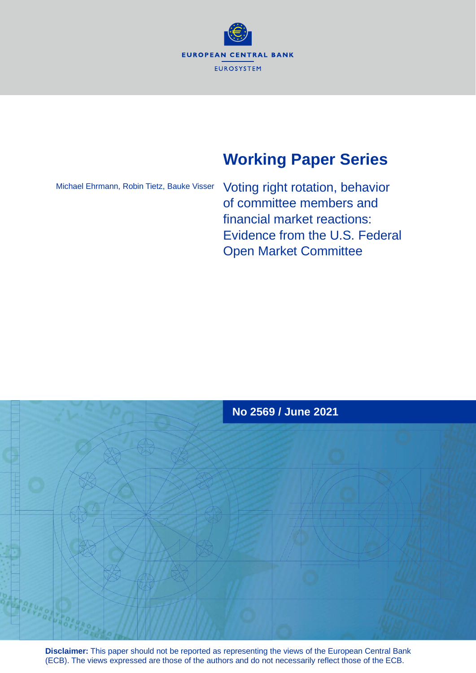

# **Working Paper Series**

Michael Ehrmann, Robin Tietz, Bauke Visser

Voting right rotation, behavior of committee members and financial market reactions: Evidence from the U.S. Federal Open Market Committee



**Disclaimer:** This paper should not be reported as representing the views of the European Central Bank (ECB). The views expressed are those of the authors and do not necessarily reflect those of the ECB.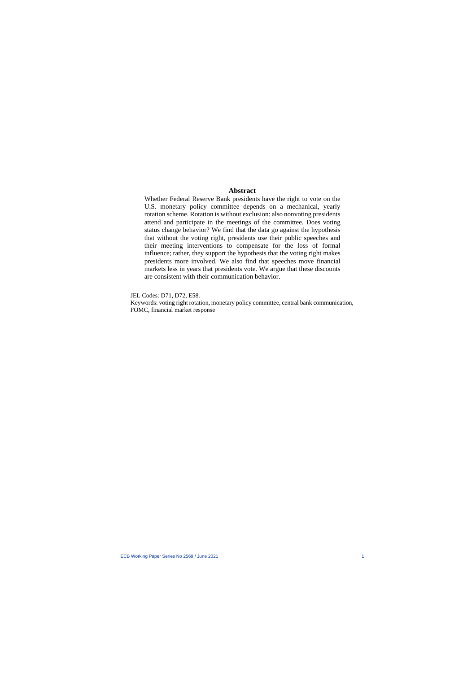### **Abstract**

Whether Federal Reserve Bank presidents have the right to vote on the U.S. monetary policy committee depends on a mechanical, yearly rotation scheme. Rotation is without exclusion: also nonvoting presidents attend and participate in the meetings of the committee. Does voting status change behavior? We find that the data go against the hypothesis that without the voting right, presidents use their public speec[h](#page-1-0)es and their meeting interventions to compensate for the loss of formal influence; rather, they support the hypothesis that the voting right makes presidents more involved. We also find that speeches move financial markets less in years that presidents vote. We argue that these discounts are consistent with their communication behavior.

JEL Codes: D71, D72, E58.

<span id="page-1-0"></span>Keywords: voting right rotation, monetary policy committee, central bank communication, FOMC, financial market response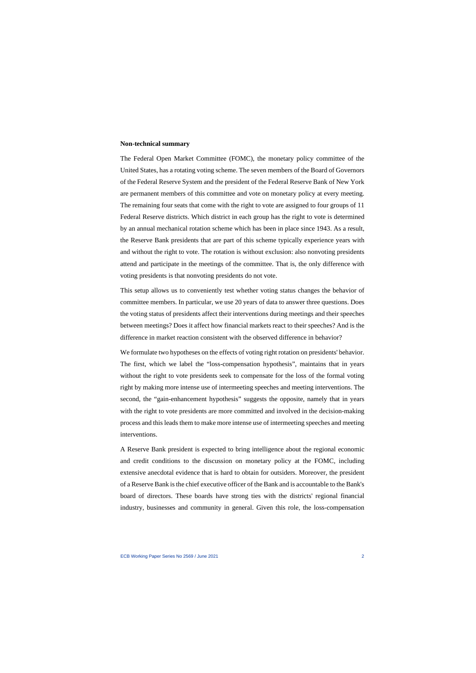#### **Non-technical summary**

The Federal Open Market Committee (FOMC), the monetary policy committee of the United States, has a rotating voting scheme. The seven members of the Board of Governors of the Federal Reserve System and the president of the Federal Reserve Bank of New York are permanent members of this committee and vote on monetary policy at every meeting. The remaining four seats that come with the right to vote are assigned to four groups of 11 Federal Reserve districts. Which district in each group has the right to vote is determined by an annual mechanical rotation scheme which has been in place since 1943. As a result, the Reserve Bank presidents that are part of this scheme typically experience years with and without the right to vote. The rotation is without exclusion: also nonvoting presidents attend and participate in the meetings of the committee. That is, the only difference with voting presidents is that nonvoting presidents do not vote.

This setup allows us to conveniently test whether voting status changes the behavior of committee members. In particular, we use 20 years of data to answer three questions. Does the voting status of presidents affect their interventions during meetings and their speeches between meetings? Does it affect how financial markets react to their speeches? And is the difference in market reaction consistent with the observed difference in behavior?

We formulate two hypotheses on the effects of voting right rotation on presidents' behavior. The first, which we label the "loss-compensation hypothesis", maintains that in years without the right to vote presidents seek to compensate for the loss of the formal voting right by making more intense use of intermeeting speeches and meeting interventions. The second, the "gain-enhancement hypothesis" suggests the opposite, namely that in years with the right to vote presidents are more committed and involved in the decision-making process and this leads them to make more intense use of intermeeting speeches and meeting interventions.

A Reserve Bank president is expected to bring intelligence about the regional economic and credit conditions to the discussion on monetary policy at the FOMC, including extensive anecdotal evidence that is hard to obtain for outsiders. Moreover, the president of a Reserve Bank is the chief executive officer of the Bank and is accountable to the Bank's board of directors. These boards have strong ties with the districts' regional financial industry, businesses and community in general. Given this role, the loss-compensation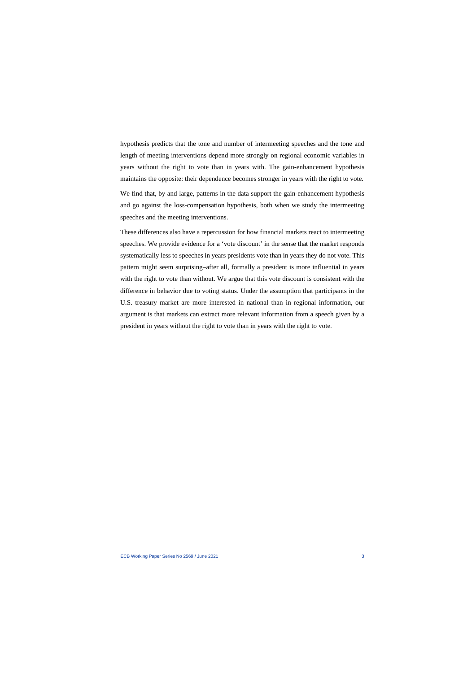hypothesis predicts that the tone and number of intermeeting speeches and the tone and length of meeting interventions depend more strongly on regional economic variables in years without the right to vote than in years with. The gain-enhancement hypothesis maintains the opposite: their dependence becomes stronger in years with the right to vote.

We find that, by and large, patterns in the data support the gain-enhancement hypothesis and go against the loss-compensation hypothesis, both when we study the intermeeting speeches and the meeting interventions.

These differences also have a repercussion for how financial markets react to intermeeting speeches. We provide evidence for a 'vote discount' in the sense that the market responds systematically less to speeches in years presidents vote than in years they do not vote. This pattern might seem surprising–after all, formally a president is more influential in years with the right to vote than without. We argue that this vote discount is consistent with the difference in behavior due to voting status. Under the assumption that participants in the U.S. treasury market are more interested in national than in regional information, our argument is that markets can extract more relevant information from a speech given by a president in years without the right to vote than in years with the right to vote.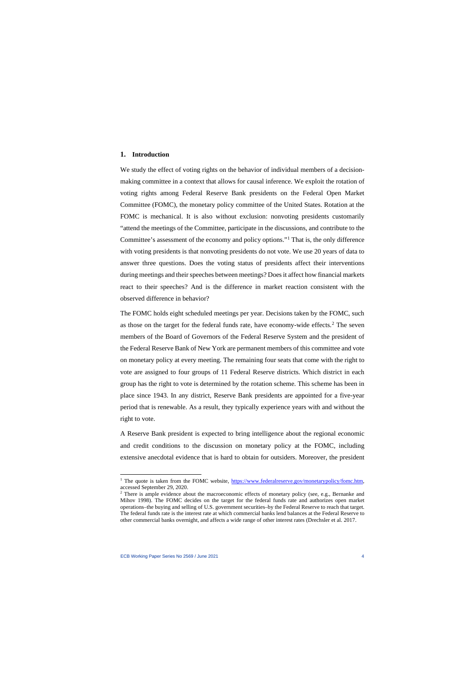#### **1. Introduction**

We study the effect of voting rights on the behavior of individual members of a decisionmaking committee in a context that allows for causal inference. We exploit the rotation of voting rights among Federal Reserve Bank presidents on the Federal Open Market Committee (FOMC), the monetary policy committee of the United States. Rotation at the FOMC is mechanical. It is also without exclusion: nonvoting presidents customarily "attend the meetings of the Committee, participate in the discussions, and contribute to the Committee's assessment of the economy and policy options."[1](#page-4-0) That is, the only difference with voting presidents is that nonvoting presidents do not vote. We use 20 years of data to answer three questions. Does the voting status of presidents affect their interventions during meetings and their speeches between meetings? Does it affect how financial markets react to their speeches? And is the difference in market reaction consistent with the observed difference in behavior?

The FOMC holds eight scheduled meetings per year. Decisions taken by the FOMC, such as those on the target for the federal funds rate, have economy-wide effects.<sup>[2](#page-4-1)</sup> The seven members of the Board of Governors of the Federal Reserve System and the president of the Federal Reserve Bank of New York are permanent members of this committee and vote on monetary policy at every meeting. The remaining four seats that come with the right to vote are assigned to four groups of 11 Federal Reserve districts. Which district in each group has the right to vote is determined by the rotation scheme. This scheme has been in place since 1943. In any district, Reserve Bank presidents are appointed for a five-year period that is renewable. As a result, they typically experience years with and without the right to vote.

A Reserve Bank president is expected to bring intelligence about the regional economic and credit conditions to the discussion on monetary policy at the FOMC, including extensive anecdotal evidence that is hard to obtain for outsiders. Moreover, the president

<sup>&</sup>lt;sup>1</sup> The quote is taken from the FOMC website, [https://www.federalreserve.gov/monetarypolicy/fomc.htm,](https://www.federalreserve.gov/monetarypolicy/fomc.htm) accessed September 29, 2020.

<span id="page-4-1"></span><span id="page-4-0"></span><sup>&</sup>lt;sup>2</sup> There is ample evidence about the macroeconomic effects of monetary policy (see, e.g., Bernanke and Mihov 1998). The FOMC decides on the target for the federal funds rate and authorizes open market operations–the buying and selling of U.S. government securities–by the Federal Reserve to reach that target. The federal funds rate is the interest rate at which commercial banks lend balances at the Federal Reserve to other commercial banks overnight, and affects a wide range of other interest rates (Drechsler et al. 2017.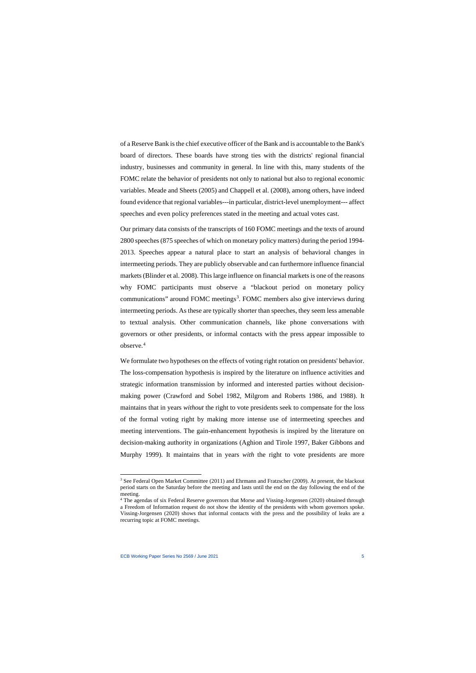of a Reserve Bank is the chief executive officer of the Bank and is accountable to the Bank's board of directors. These boards have strong ties with the districts' regional financial industry, businesses and community in general. In line with this, many students of the FOMC relate the behavior of presidents not only to national but also to regional economic variables. Meade and Sheets (2005) and Chappell et al. (2008), among others, have indeed found evidence that regional variables---in particular, district-level unemployment--- affect speeches and even policy preferences stated in the meeting and actual votes cast.

Our primary data consists of the transcripts of 160 FOMC meetings and the texts of around 2800 speeches (875 speeches of which on monetary policy matters) during the period 1994- 2013. Speeches appear a natural place to start an analysis of behavioral changes in intermeeting periods. They are publicly observable and can furthermore influence financial markets (Blinder et al. 2008). This large influence on financial markets is one of the reasons why FOMC participants must observe a "blackout period on monetary policy communications" around FOMC meetings<sup>[3](#page-5-0)</sup>. FOMC members also give interviews during intermeeting periods. As these are typically shorter than speeches, they seem less amenable to textual analysis. Other communication channels, like phone conversations with governors or other presidents, or informal contacts with the press appear impossible to observe.<sup>[4](#page-5-1)</sup>

We formulate two hypotheses on the effects of voting right rotation on presidents' behavior. The loss-compensation hypothesis is inspired by the literature on influence activities and strategic information transmission by informed and interested parties without decisionmaking power (Crawford and Sobel 1982, Milgrom and Roberts 1986, and 1988). It maintains that in years *without* the right to vote presidents seek to compensate for the loss of the formal voting right by making more intense use of intermeeting speeches and meeting interventions. The gain-enhancement hypothesis is inspired by the literature on decision-making authority in organizations (Aghion and Tirole 1997, Baker Gibbons and Murphy 1999). It maintains that in years *with* the right to vote presidents are more

<sup>&</sup>lt;sup>3</sup> See Federal Open Market Committee (2011) and Ehrmann and Fratzscher (2009). At present, the blackout period starts on the Saturday before the meeting and lasts until the end on the day following the end of the meeting.

<span id="page-5-1"></span><span id="page-5-0"></span><sup>4</sup> The agendas of six Federal Reserve governors that Morse and Vissing-Jorgensen (2020) obtained through a Freedom of Information request do not show the identity of the presidents with whom governors spoke. Vissing-Jorgensen (2020) shows that informal contacts with the press and the possibility of leaks are a recurring topic at FOMC meetings.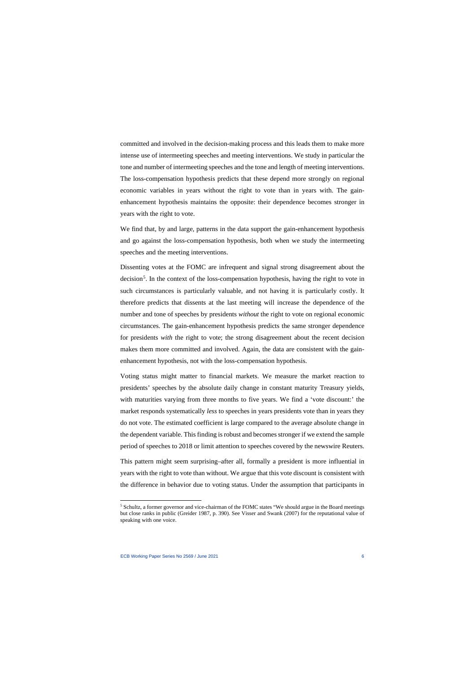committed and involved in the decision-making process and this leads them to make more intense use of intermeeting speeches and meeting interventions. We study in particular the tone and number of intermeeting speeches and the tone and length of meeting interventions. The loss-compensation hypothesis predicts that these depend more strongly on regional economic variables in years without the right to vote than in years with. The gainenhancement hypothesis maintains the opposite: their dependence becomes stronger in years with the right to vote.

We find that, by and large, patterns in the data support the gain-enhancement hypothesis and go against the loss-compensation hypothesis, both when we study the intermeeting speeches and the meeting interventions.

Dissenting votes at the FOMC are infrequent and signal strong disagreement about the decision<sup>[5](#page-6-0)</sup>. In the context of the loss-compensation hypothesis, having the right to vote in such circumstances is particularly valuable, and not having it is particularly costly. It therefore predicts that dissents at the last meeting will increase the dependence of the number and tone of speeches by presidents *without* the right to vote on regional economic circumstances. The gain-enhancement hypothesis predicts the same stronger dependence for presidents *with* the right to vote; the strong disagreement about the recent decision makes them more committed and involved. Again, the data are consistent with the gainenhancement hypothesis, not with the loss-compensation hypothesis.

Voting status might matter to financial markets. We measure the market reaction to presidents' speeches by the absolute daily change in constant maturity Treasury yields, with maturities varying from three months to five years. We find a 'vote discount:' the market responds systematically *less* to speeches in years presidents vote than in years they do not vote. The estimated coefficient is large compared to the average absolute change in the dependent variable. This finding is robust and becomes stronger if we extend the sample period of speeches to 2018 or limit attention to speeches covered by the newswire Reuters.

This pattern might seem surprising–after all, formally a president is more influential in years with the right to vote than without. We argue that this vote discount is consistent with the difference in behavior due to voting status. Under the assumption that participants in

<span id="page-6-0"></span><sup>5</sup> Schultz, a former governor and vice-chairman of the FOMC states "We should argue in the Board meetings but close ranks in public (Greider 1987, p. 390). See Visser and Swank (2007) for the reputational value of speaking with one voice.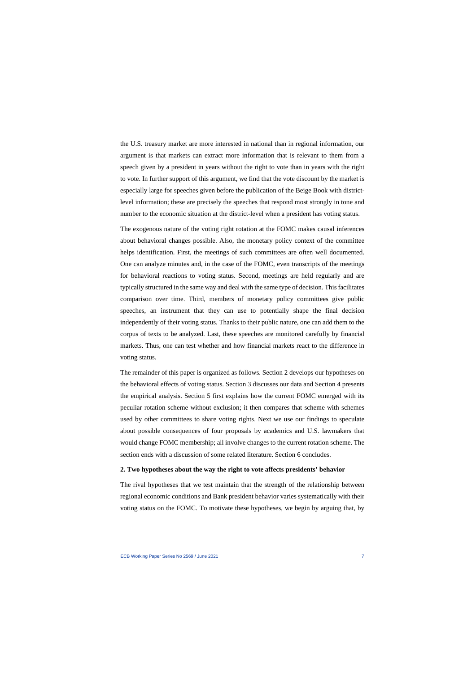the U.S. treasury market are more interested in national than in regional information, our argument is that markets can extract more information that is relevant to them from a speech given by a president in years without the right to vote than in years with the right to vote. In further support of this argument, we find that the vote discount by the market is especially large for speeches given before the publication of the Beige Book with districtlevel information; these are precisely the speeches that respond most strongly in tone and number to the economic situation at the district-level when a president has voting status.

The exogenous nature of the voting right rotation at the FOMC makes causal inferences about behavioral changes possible. Also, the monetary policy context of the committee helps identification. First, the meetings of such committees are often well documented. One can analyze minutes and, in the case of the FOMC, even transcripts of the meetings for behavioral reactions to voting status. Second, meetings are held regularly and are typically structured in the same way and deal with the same type of decision. This facilitates comparison over time. Third, members of monetary policy committees give public speeches, an instrument that they can use to potentially shape the final decision independently of their voting status. Thanks to their public nature, one can add them to the corpus of texts to be analyzed. Last, these speeches are monitored carefully by financial markets. Thus, one can test whether and how financial markets react to the difference in voting status.

The remainder of this paper is organized as follows. Section 2 develops our hypotheses on the behavioral effects of voting status. Section 3 discusses our data and Section 4 presents the empirical analysis. Section 5 first explains how the current FOMC emerged with its peculiar rotation scheme without exclusion; it then compares that scheme with schemes used by other committees to share voting rights. Next we use our findings to speculate about possible consequences of four proposals by academics and U.S. lawmakers that would change FOMC membership; all involve changes to the current rotation scheme. The section ends with a discussion of some related literature. Section 6 concludes.

#### **2. Two hypotheses about the way the right to vote affects presidents' behavior**

The rival hypotheses that we test maintain that the strength of the relationship between regional economic conditions and Bank president behavior varies systematically with their voting status on the FOMC. To motivate these hypotheses, we begin by arguing that, by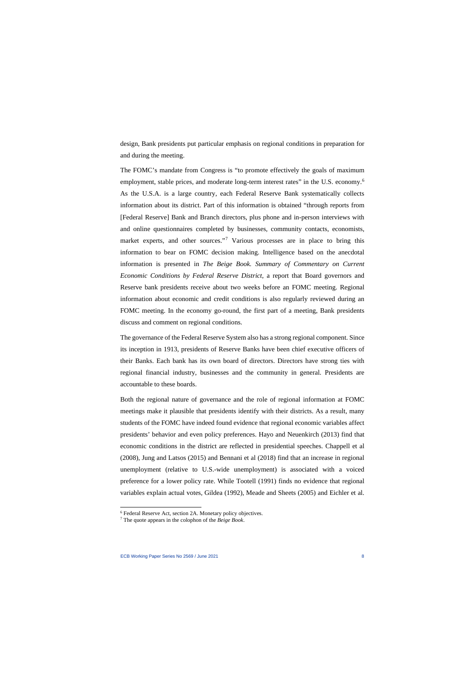design, Bank presidents put particular emphasis on regional conditions in preparation for and during the meeting.

The FOMC's mandate from Congress is "to promote effectively the goals of maximum employment, stable prices, and moderate long-term interest rates" in the U.S. economy.<sup>[6](#page-8-0)</sup> As the U.S.A. is a large country, each Federal Reserve Bank systematically collects information about its district. Part of this information is obtained "through reports from [Federal Reserve] Bank and Branch directors, plus phone and in-person interviews with and online questionnaires completed by businesses, community contacts, economists, market experts, and other sources."<sup>[7](#page-8-1)</sup> Various processes are in place to bring this information to bear on FOMC decision making. Intelligence based on the anecdotal information is presented in *The Beige Book. Summary of Commentary on Current Economic Conditions by Federal Reserve District*, a report that Board governors and Reserve bank presidents receive about two weeks before an FOMC meeting. Regional information about economic and credit conditions is also regularly reviewed during an FOMC meeting. In the economy go-round, the first part of a meeting, Bank presidents discuss and comment on regional conditions.

The governance of the Federal Reserve System also has a strong regional component. Since its inception in 1913, presidents of Reserve Banks have been chief executive officers of their Banks. Each bank has its own board of directors. Directors have strong ties with regional financial industry, businesses and the community in general. Presidents are accountable to these boards.

Both the regional nature of governance and the role of regional information at FOMC meetings make it plausible that presidents identify with their districts. As a result, many students of the FOMC have indeed found evidence that regional economic variables affect presidents' behavior and even policy preferences. Hayo and Neuenkirch (2013) find that economic conditions in the district are reflected in presidential speeches. Chappell et al (2008), Jung and Latsos (2015) and Bennani et al (2018) find that an increase in regional unemployment (relative to U.S.-wide unemployment) is associated with a voiced preference for a lower policy rate. While Tootell (1991) finds no evidence that regional variables explain actual votes, Gildea (1992), Meade and Sheets (2005) and Eichler et al.

<sup>6</sup> Federal Reserve Act, section 2A. Monetary policy objectives.

<span id="page-8-1"></span><span id="page-8-0"></span><sup>7</sup> The quote appears in the colophon of the *Beige Book*.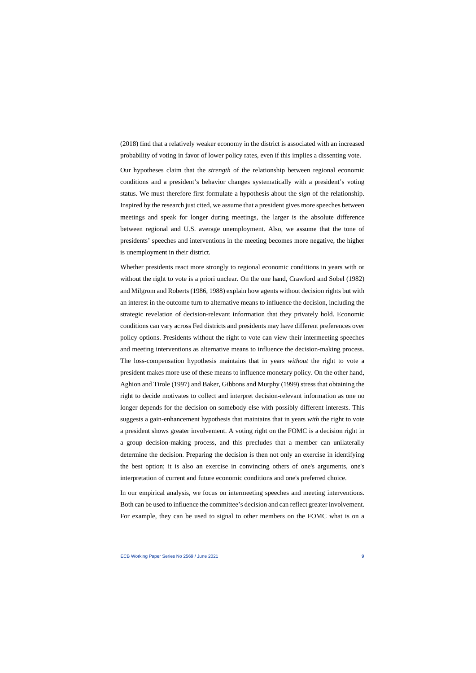(2018) find that a relatively weaker economy in the district is associated with an increased probability of voting in favor of lower policy rates, even if this implies a dissenting vote.

Our hypotheses claim that the *strength* of the relationship between regional economic conditions and a president's behavior changes systematically with a president's voting status. We must therefore first formulate a hypothesis about the *sign* of the relationship. Inspired by the research just cited, we assume that a president gives more speeches between meetings and speak for longer during meetings, the larger is the absolute difference between regional and U.S. average unemployment. Also, we assume that the tone of presidents' speeches and interventions in the meeting becomes more negative, the higher is unemployment in their district.

Whether presidents react more strongly to regional economic conditions in years with or without the right to vote is a priori unclear. On the one hand, Crawford and Sobel (1982) and Milgrom and Roberts (1986, 1988) explain how agents without decision rights but with an interest in the outcome turn to alternative means to influence the decision, including the strategic revelation of decision-relevant information that they privately hold. Economic conditions can vary across Fed districts and presidents may have different preferences over policy options. Presidents without the right to vote can view their intermeeting speeches and meeting interventions as alternative means to influence the decision-making process. The loss-compensation hypothesis maintains that in years *without* the right to vote a president makes more use of these means to influence monetary policy. On the other hand, Aghion and Tirole (1997) and Baker, Gibbons and Murphy (1999) stress that obtaining the right to decide motivates to collect and interpret decision-relevant information as one no longer depends for the decision on somebody else with possibly different interests. This suggests a gain-enhancement hypothesis that maintains that in years *with* the right to vote a president shows greater involvement. A voting right on the FOMC is a decision right in a group decision-making process, and this precludes that a member can unilaterally determine the decision. Preparing the decision is then not only an exercise in identifying the best option; it is also an exercise in convincing others of one's arguments, one's interpretation of current and future economic conditions and one's preferred choice.

In our empirical analysis, we focus on intermeeting speeches and meeting interventions. Both can be used to influence the committee's decision and can reflect greater involvement. For example, they can be used to signal to other members on the FOMC what is on a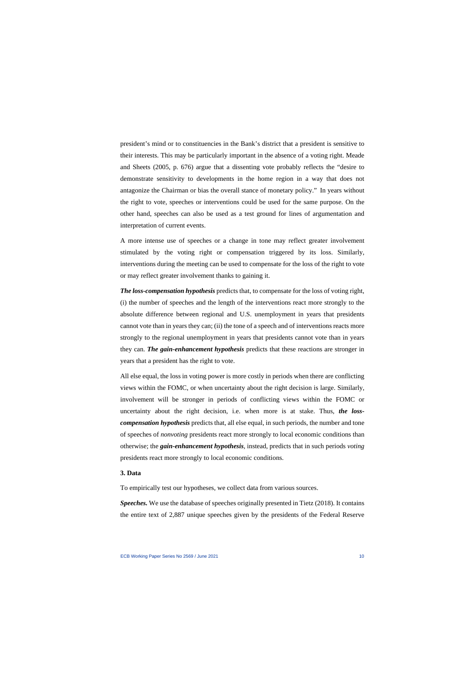president's mind or to constituencies in the Bank's district that a president is sensitive to their interests. This may be particularly important in the absence of a voting right. Meade and Sheets (2005, p. 676) argue that a dissenting vote probably reflects the "desire to demonstrate sensitivity to developments in the home region in a way that does not antagonize the Chairman or bias the overall stance of monetary policy."' In years without the right to vote, speeches or interventions could be used for the same purpose. On the other hand, speeches can also be used as a test ground for lines of argumentation and interpretation of current events.

A more intense use of speeches or a change in tone may reflect greater involvement stimulated by the voting right or compensation triggered by its loss. Similarly, interventions during the meeting can be used to compensate for the loss of the right to vote or may reflect greater involvement thanks to gaining it.

*The loss-compensation hypothesis* predicts that, to compensate for the loss of voting right, (i) the number of speeches and the length of the interventions react more strongly to the absolute difference between regional and U.S. unemployment in years that presidents cannot vote than in years they can; (ii) the tone of a speech and of interventions reacts more strongly to the regional unemployment in years that presidents cannot vote than in years they can. *The gain-enhancement hypothesis* predicts that these reactions are stronger in years that a president has the right to vote.

All else equal, the loss in voting power is more costly in periods when there are conflicting views within the FOMC, or when uncertainty about the right decision is large. Similarly, involvement will be stronger in periods of conflicting views within the FOMC or uncertainty about the right decision, i.e. when more is at stake. Thus, *the losscompensation hypothesis* predicts that, all else equal, in such periods, the number and tone of speeches of *nonvoting* presidents react more strongly to local economic conditions than otherwise; the *gain-enhancement hypothesis*, instead, predicts that in such periods *voting* presidents react more strongly to local economic conditions.

#### **3. Data**

To empirically test our hypotheses, we collect data from various sources.

*Speeches.* We use the database of speeches originally presented in Tietz (2018). It contains the entire text of 2,887 unique speeches given by the presidents of the Federal Reserve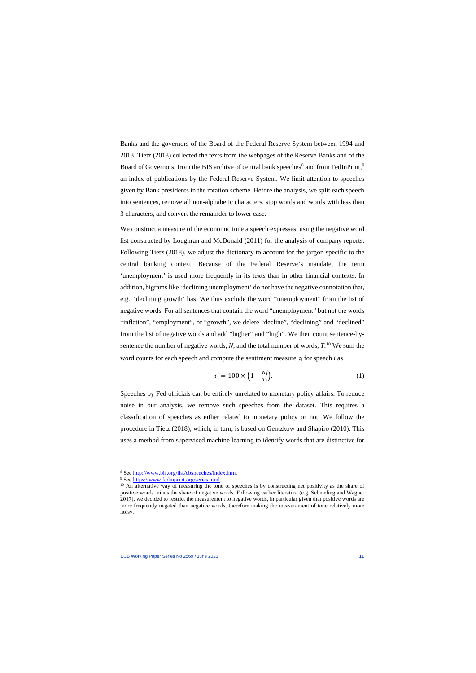Banks and the governors of the Board of the Federal Reserve System between 1994 and 2013. Tietz (2018) collected the texts from the webpages of the Reserve Banks and of the Board of Governors, from the BIS archive of central bank speeches<sup>[8](#page-11-0)</sup> and from FedInPrint.<sup>[9](#page-11-1)</sup> an index of publications by the Federal Reserve System. We limit attention to speeches given by Bank presidents in the rotation scheme. Before the analysis, we split each speech into sentences, remove all non-alphabetic characters, stop words and words with less than 3 characters, and convert the remainder to lower case.

We construct a measure of the economic tone a speech expresses, using the negative word list constructed by Loughran and McDonald (2011) for the analysis of company reports. Following Tietz (2018), we adjust the dictionary to account for the jargon specific to the central banking context. Because of the Federal Reserve's mandate, the term 'unemployment' is used more frequently in its texts than in other financial contexts. In addition, bigrams like 'declining unemployment' do not have the negative connotation that, e.g., 'declining growth' has. We thus exclude the word "unemployment" from the list of negative words. For all sentences that contain the word "unemployment" but not the words "inflation", "employment", or "growth", we delete "decline", "declining" and "declined" from the list of negative words and add "higher" and "high". We then count sentence-bysentence the number of negative words, *N*, and the total number of words, *T*. [10](#page-11-2) We sum the word counts for each speech and compute the sentiment measure  $\tau_i$  for speech *i* as

$$
\tau_i = 100 \times \left(1 - \frac{N_i}{T_i}\right). \tag{1}
$$

Speeches by Fed officials can be entirely unrelated to monetary policy affairs. To reduce noise in our analysis, we remove such speeches from the dataset. This requires a classification of speeches as either related to monetary policy or not. We follow the procedure in Tietz (2018), which, in turn, is based on Gentzkow and Shapiro (2010). This uses a method from supervised machine learning to identify words that are distinctive for

<sup>&</sup>lt;sup>8</sup> See [http://www.bis.org/list/cbspeeches/index.htm.](http://www.bis.org/list/cbspeeches/index.htm)<br><sup>9</sup> See https://www.fedinprint.org/series.html.

<span id="page-11-2"></span><span id="page-11-1"></span><span id="page-11-0"></span> $\frac{10}{10}$  An alternative way of measuring the tone of speeches is by constructing net positivity as the share of positive words minus the share of negative words. Following earlier literature (e.g. Schmeling and Wagner 2017), we decided to restrict the measurement to negative words, in particular given that positive words are more frequently negated than negative words, therefore making the measurement of tone relatively more noisy.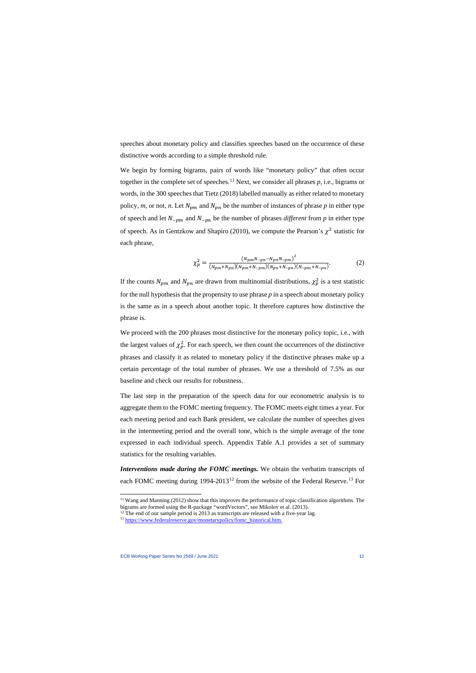speeches about monetary policy and classifies speeches based on the occurrence of these distinctive words according to a simple threshold rule.

We begin by forming bigrams, pairs of words like "monetary policy" that often occur together in the complete set of speeches.<sup>[11](#page-12-0)</sup> Next, we consider all phrases  $p$ , i.e., bigrams or words, in the 300 speeches that Tietz (2018) labelled manually as either related to monetary policy, *m*, or not, *n*. Let  $N_{pm}$  and  $N_{pn}$  be the number of instances of phrase *p* in either type of speech and let  $N_{\sim pm}$  and  $N_{\sim pn}$  be the number of phrases *different* from p in either type of speech. As in Gentzkow and Shapiro (2010), we compute the Pearson's  $\chi^2$  statistic for each phrase,

$$
\chi_p^2 = \frac{(N_{pm}N_{\sim pn} - N_{pn}N_{\sim pm})^2}{(N_{pm} + N_{pn})(N_{pm} + N_{\sim pm})(N_{pn} + N_{\sim pn})(N_{\sim pm} + N_{\sim pn})}.
$$
(2)

If the counts  $N_{pm}$  and  $N_{pn}$  are drawn from multinomial distributions,  $\chi_p^2$  is a test statistic for the null hypothesis that the propensity to use phrase *p* in a speech about monetary policy is the same as in a speech about another topic. It therefore captures how distinctive the phrase is.

We proceed with the 200 phrases most distinctive for the monetary policy topic, i.e., with the largest values of  $\chi_p^2$ . For each speech, we then count the occurrences of the distinctive phrases and classify it as related to monetary policy if the distinctive phrases make up a certain percentage of the total number of phrases. We use a threshold of 7.5% as our baseline and check our results for robustness.

The last step in the preparation of the speech data for our econometric analysis is to aggregate them to the FOMC meeting frequency. The FOMC meets eight times a year. For each meeting period and each Bank president, we calculate the number of speeches given in the intermeeting period and the overall tone, which is the simple average of the tone expressed in each individual speech. Appendix Table A.1 provides a set of summary statistics for the resulting variables.

*Interventions made during the FOMC meetings.* We obtain the verbatim transcripts of each FOMC meeting during 1994-2013<sup>[12](#page-12-1)</sup> from the website of the Federal Reserve.<sup>[13](#page-12-2)</sup> For

<sup>&</sup>lt;sup>11</sup> Wang and Manning (2012) show that this improves the performance of topic classification algorithms. The bigrams are formed using the R-package "wordVectors", see Mikolov et al. (2013).

<sup>&</sup>lt;sup>12</sup> The end of our sample period is 2013 as transcripts are released with a five-year lag. <sup>13</sup> [https://www.federalreserve.gov/monetarypolicy/fomc\\_historical.htm.](https://www.federalreserve.gov/monetarypolicy/fomc_historical.htm)

<span id="page-12-2"></span><span id="page-12-1"></span><span id="page-12-0"></span>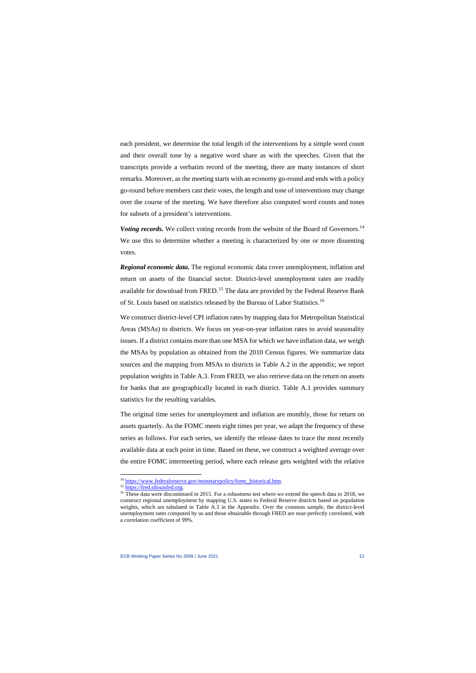each president, we determine the total length of the interventions by a simple word count and their overall tone by a negative word share as with the speeches. Given that the transcripts provide a verbatim record of the meeting, there are many instances of short remarks. Moreover, as the meeting starts with an economy go-round and ends with a policy go-round before members cast their votes, the length and tone of interventions may change over the course of the meeting. We have therefore also computed word counts and tones for subsets of a president's interventions.

*Voting records.* We collect voting records from the website of the Board of Governors.<sup>[14](#page-13-0)</sup> We use this to determine whether a meeting is characterized by one or more dissenting votes.

*Regional economic data.* The regional economic data cover unemployment, inflation and return on assets of the financial sector. District-level unemployment rates are readily available for download from FRED.<sup>[15](#page-13-1)</sup> The data are provided by the Federal Reserve Bank of St. Louis based on statistics released by the Bureau of Labor Statistics.[16](#page-13-2) 

We construct district-level CPI inflation rates by mapping data for Metropolitan Statistical Areas (MSAs) to districts. We focus on year-on-year inflation rates to avoid seasonality issues. If a district contains more than one MSA for which we have inflation data, we weigh the MSAs by population as obtained from the 2010 Census figures. We summarize data sources and the mapping from MSAs to districts in Table A.2 in the appendix; we report population weights in Table A.3. From FRED, we also retrieve data on the return on assets for banks that are geographically located in each district. Table A.1 provides summary statistics for the resulting variables.

The original time series for unemployment and inflation are monthly, those for return on assets quarterly. As the FOMC meets eight times per year, we adapt the frequency of these series as follows. For each series, we identify the release dates to trace the most recently available data at each point in time. Based on these, we construct a weighted average over the entire FOMC intermeeting period, where each release gets weighted with the relative

<span id="page-13-2"></span><span id="page-13-1"></span><span id="page-13-0"></span>

<sup>&</sup>lt;sup>14</sup> [https://www.federalreserve.gov/monetarypolicy/fomc\\_historical.htm.](https://www.federalreserve.gov/monetarypolicy/fomc_historical.htm) <sup>15</sup> [https://fred.stlouisfed.org.](https://fred.stlouisfed.org/) <sup>16</sup> These data were discontinued in 2015. For a robustness test where we extend the speech data to 2018, we construct regional unemployment by mapping U.S. states to Federal Reserve districts based on population weights, which are tabulated in Table A.3 in the Appendix. Over the common sample, the district-level unemployment rates computed by us and those obtainable through FRED are near-perfectly correlated, with a correlation coefficient of 99%.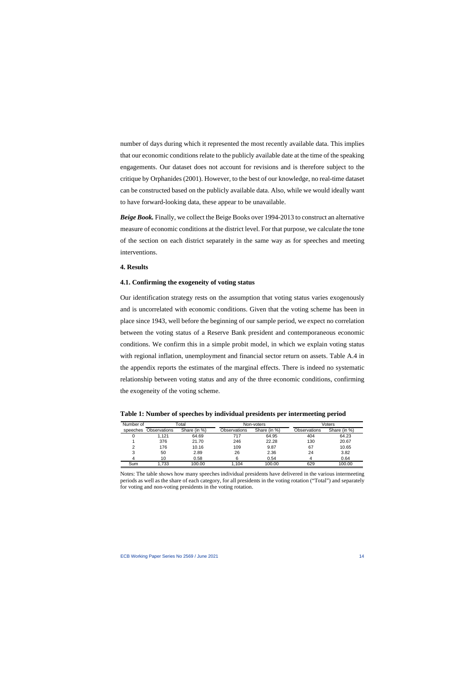number of days during which it represented the most recently available data. This implies that our economic conditions relate to the publicly available date at the time of the speaking engagements. Our dataset does not account for revisions and is therefore subject to the critique by Orphanides (2001). However, to the best of our knowledge, no real-time dataset can be constructed based on the publicly available data. Also, while we would ideally want to have forward-looking data, these appear to be unavailable.

*Beige Book.* Finally, we collect the Beige Books over 1994-2013 to construct an alternative measure of economic conditions at the district level. For that purpose, we calculate the tone of the section on each district separately in the same way as for speeches and meeting interventions.

### **4. Results**

#### **4.1. Confirming the exogeneity of voting status**

Our identification strategy rests on the assumption that voting status varies exogenously and is uncorrelated with economic conditions. Given that the voting scheme has been in place since 1943, well before the beginning of our sample period, we expect no correlation between the voting status of a Reserve Bank president and contemporaneous economic conditions. We confirm this in a simple probit model, in which we explain voting status with regional inflation, unemployment and financial sector return on assets. Table A.4 in the appendix reports the estimates of the marginal effects. There is indeed no systematic relationship between voting status and any of the three economic conditions, confirming the exogeneity of the voting scheme.

| Number of |              | ⊺otal        |                     | Non-voters   |              | Voters       |
|-----------|--------------|--------------|---------------------|--------------|--------------|--------------|
| speeches  | Observations | Share (in %) | <b>Observations</b> | Share (in %) | Observations | Share (in %) |
|           | 1.121        | 64.69        | 717                 | 64.95        | 404          | 64.23        |
|           | 376          | 21.70        | 246                 | 22.28        | 130          | 20.67        |
| っ         | 176          | 10.16        | 109                 | 9.87         | 67           | 10.65        |
| 3         | 50           | 2.89         | 26                  | 2.36         | 24           | 3.82         |
|           | 10           | 0.58         | 6                   | 0.54         |              | 0.64         |
| Sum       | 1.733        | 100.00       | .104                | 100.00       | 629          | 100.00       |

**Table 1: Number of speeches by individual presidents per intermeeting period**

Notes: The table shows how many speeches individual presidents have delivered in the various intermeeting periods as well as the share of each category, for all presidents in the voting rotation ("Total") and separately for voting and non-voting presidents in the voting rotation.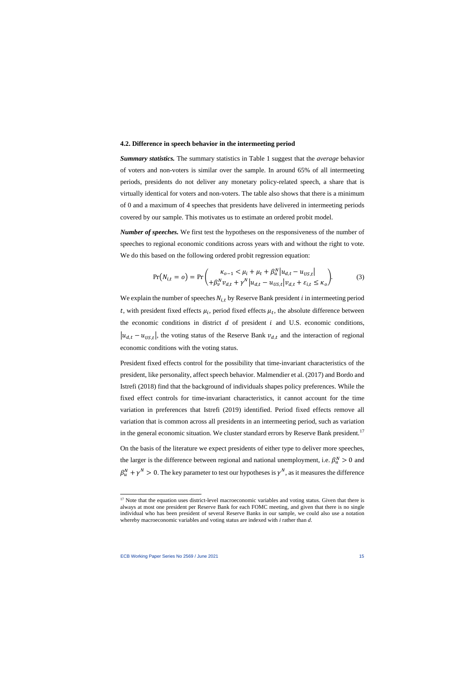#### **4.2. Difference in speech behavior in the intermeeting period**

*Summary statistics.* The summary statistics in Table 1 suggest that the *average* behavior of voters and non-voters is similar over the sample. In around 65% of all intermeeting periods, presidents do not deliver any monetary policy-related speech, a share that is virtually identical for voters and non-voters. The table also shows that there is a minimum of 0 and a maximum of 4 speeches that presidents have delivered in intermeeting periods covered by our sample. This motivates us to estimate an ordered probit model.

*Number of speeches.* We first test the hypotheses on the responsiveness of the number of speeches to regional economic conditions across years with and without the right to vote. We do this based on the following ordered probit regression equation:

$$
Pr(N_{i,t} = o) = Pr\left(\frac{\kappa_{o-1} < \mu_i + \mu_t + \beta_u^N |u_{d,t} - u_{US,t}|}{\beta_v^N v_{d,t} + \gamma^N |u_{d,t} - u_{US,t}| v_{d,t} + \varepsilon_{i,t} \le \kappa_o}\right). \tag{3}
$$

We explain the number of speeches  $N_{i,t}$  by Reserve Bank president *i* in intermeeting period t, with president fixed effects  $\mu_i$ , period fixed effects  $\mu_t$ , the absolute difference between the economic conditions in district  $d$  of president  $i$  and U.S. economic conditions,  $|u_{d,t} - u_{USE}|$ , the voting status of the Reserve Bank  $v_{d,t}$  and the interaction of regional economic conditions with the voting status.

President fixed effects control for the possibility that time-invariant characteristics of the president, like personality, affect speech behavior. Malmendier et al. (2017) and Bordo and Istrefi (2018) find that the background of individuals shapes policy preferences. While the fixed effect controls for time-invariant characteristics, it cannot account for the time variation in preferences that Istrefi (2019) identified. Period fixed effects remove all variation that is common across all presidents in an intermeeting period, such as variation in the general economic situation. We cluster standard errors by Reserve Bank president.<sup>[17](#page-15-0)</sup>

On the basis of the literature we expect presidents of either type to deliver more speeches, the larger is the difference between regional and national unemployment, i.e.  $\beta_u^N > 0$  and  $\beta_u^N + \gamma_N^N > 0$ . The key parameter to test our hypotheses is  $\gamma_N$ , as it measures the difference

<span id="page-15-0"></span><sup>&</sup>lt;sup>17</sup> Note that the equation uses district-level macroeconomic variables and voting status. Given that there is always at most one president per Reserve Bank for each FOMC meeting, and given that there is no single individual who has been president of several Reserve Banks in our sample, we could also use a notation whereby macroeconomic variables and voting status are indexed with *i* rather than *d*.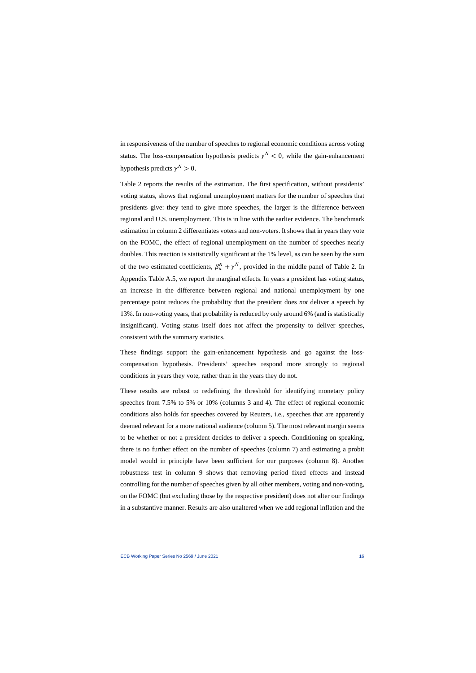in responsiveness of the number of speeches to regional economic conditions across voting status. The loss-compensation hypothesis predicts  $v^N < 0$ , while the gain-enhancement hypothesis predicts  $v^N > 0$ .

Table 2 reports the results of the estimation. The first specification, without presidents' voting status, shows that regional unemployment matters for the number of speeches that presidents give: they tend to give more speeches, the larger is the difference between regional and U.S. unemployment. This is in line with the earlier evidence. The benchmark estimation in column 2 differentiates voters and non-voters. It shows that in years they vote on the FOMC, the effect of regional unemployment on the number of speeches nearly doubles. This reaction is statistically significant at the 1% level, as can be seen by the sum of the two estimated coefficients,  $\beta_u^N + \gamma_v^N$ , provided in the middle panel of Table 2. In Appendix Table A.5, we report the marginal effects. In years a president has voting status, an increase in the difference between regional and national unemployment by one percentage point reduces the probability that the president does *not* deliver a speech by 13%. In non-voting years, that probability is reduced by only around 6% (and is statistically insignificant). Voting status itself does not affect the propensity to deliver speeches, consistent with the summary statistics.

These findings support the gain-enhancement hypothesis and go against the losscompensation hypothesis. Presidents' speeches respond more strongly to regional conditions in years they vote, rather than in the years they do not.

These results are robust to redefining the threshold for identifying monetary policy speeches from 7.5% to 5% or 10% (columns 3 and 4). The effect of regional economic conditions also holds for speeches covered by Reuters, i.e., speeches that are apparently deemed relevant for a more national audience (column 5). The most relevant margin seems to be whether or not a president decides to deliver a speech. Conditioning on speaking, there is no further effect on the number of speeches (column 7) and estimating a probit model would in principle have been sufficient for our purposes (column 8). Another robustness test in column 9 shows that removing period fixed effects and instead controlling for the number of speeches given by all other members, voting and non-voting, on the FOMC (but excluding those by the respective president) does not alter our findings in a substantive manner. Results are also unaltered when we add regional inflation and the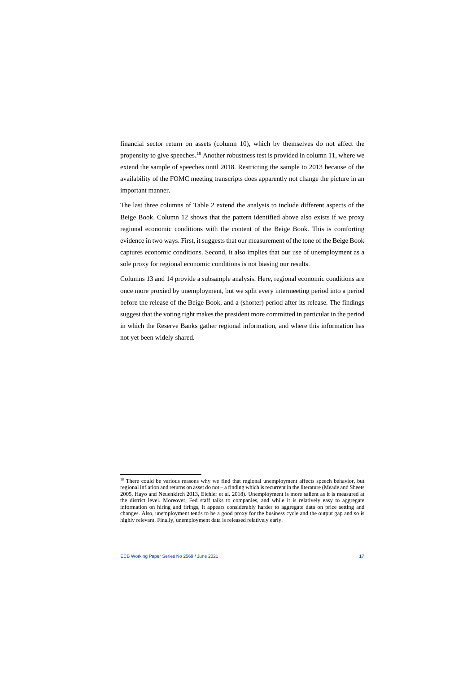financial sector return on assets (column 10), which by themselves do not affect the propensity to give speeches.<sup>18</sup> Another robustness test is provided in column 11, where we extend the sample of speeches until 2018. Restricting the sample to 2013 because of the availability of the FOMC meeting transcripts does apparently not change the picture in an important manner.

The last three columns of Table 2 extend the analysis to include different aspects of the Beige Book. Column 12 shows that the pattern identified above also exists if we proxy regional economic conditions with the content of the Beige Book. This is comforting evidence in two ways. First, it suggests that our measurement of the tone of the Beige Book captures economic conditions. Second, it also implies that our use of unemployment as a sole proxy for regional economic conditions is not biasing our results.

Columns 13 and 14 provide a subsample analysis. Here, regional economic conditions are once more proxied by unemployment, but we split every intermeeting period into a period before the release of the Beige Book, and a (shorter) period after its release. The findings suggest that the voting right makes the president more committed in particular in the period in which the Reserve Banks gather regional information, and where this information has not yet been widely shared.

<span id="page-17-0"></span><sup>&</sup>lt;sup>18</sup> There could be various reasons why we find that regional unemployment affects speech behavior, but regional inflation and returns on asset do not – a finding which is recurrent in the literature (Meade and Sheets 2005, Hayo and Neuenkirch 2013, Eichler et al. 2018). Unemployment is more salient as it is measured at the district level. Moreover, Fed staff talks to companies, and while it is relatively easy to aggregate information on hiring and firings, it appears considerably harder to aggregate data on price setting and changes. Also, unemployment tends to be a good proxy for the business cycle and the output gap and so is highly relevant. Finally, unemployment data is released relatively early.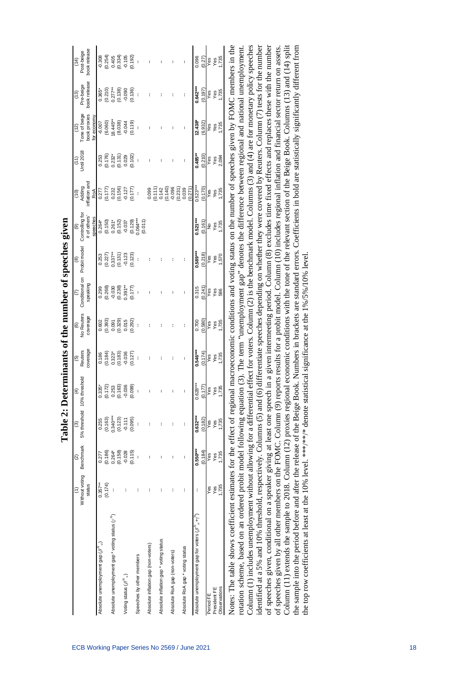|                                                                                                                                                                           |                | ସ          | $\overline{3}$                                   | $\left( 4\right)$    | $\overline{G}$                                                     | $\circ$              | $\overline{5}$                                                                | (8)                                                                                                                                                                                                                                                                                           | (6)                                                                                                                    |                                                                                     | (11)                                           | (12)                               | (13)                                                        | (14)                                                     |
|---------------------------------------------------------------------------------------------------------------------------------------------------------------------------|----------------|------------|--------------------------------------------------|----------------------|--------------------------------------------------------------------|----------------------|-------------------------------------------------------------------------------|-----------------------------------------------------------------------------------------------------------------------------------------------------------------------------------------------------------------------------------------------------------------------------------------------|------------------------------------------------------------------------------------------------------------------------|-------------------------------------------------------------------------------------|------------------------------------------------|------------------------------------|-------------------------------------------------------------|----------------------------------------------------------|
|                                                                                                                                                                           | Without voting | Benchmark  | 5% threshold 10% threshold                       |                      | Reuters                                                            | No Reuters           | Conditional on                                                                | Probit model                                                                                                                                                                                                                                                                                  | Controlling for                                                                                                        | but uonpry<br>bupy<br>(01)                                                          | Jntil 2018                                     | Tone of beige                      | Pre-beige                                                   | Post-beige                                               |
|                                                                                                                                                                           | status         |            |                                                  |                      | coverage                                                           | coverage             | speaking                                                                      |                                                                                                                                                                                                                                                                                               | # of others'<br>speeches                                                                                               |                                                                                     |                                                | book proxies<br>for economy        | book release                                                | book release                                             |
| Absolute unemployment gap $(\beta''_u)$                                                                                                                                   | $0.357**$      | 0.277      | 0.255                                            | $0.335*$             | 0.186                                                              | 0.602                |                                                                               | 0.253                                                                                                                                                                                                                                                                                         | $0.264*$                                                                                                               | 0.277                                                                               | 0.253                                          | $-6.007$                           | $0.365*$                                                    | $-0.308$                                                 |
|                                                                                                                                                                           | (0.174)        | (0.186)    | (0.163)                                          | (0.172)              |                                                                    | (0.393)              | $\begin{array}{l} 0.299 \\ 0.268) \\ 0.030 \\ -0.030 \\ 0.239 \\ \end{array}$ |                                                                                                                                                                                                                                                                                               |                                                                                                                        |                                                                                     |                                                | $(6.060)$<br>18.445**              |                                                             |                                                          |
| Absolute unemployment gap * voting status $(\gamma^N)$                                                                                                                    |                | $0.264*$   |                                                  |                      |                                                                    |                      |                                                                               |                                                                                                                                                                                                                                                                                               |                                                                                                                        |                                                                                     |                                                |                                    |                                                             |                                                          |
|                                                                                                                                                                           |                | (0.158)    |                                                  | $0.253$<br>$(0.163)$ |                                                                    | 0.091<br>(0.329)     |                                                                               |                                                                                                                                                                                                                                                                                               |                                                                                                                        |                                                                                     |                                                |                                    |                                                             |                                                          |
| Voting status $(\beta^N\omega)$                                                                                                                                           | ı              | $-0.028$   | $0.340***$<br>$(0.123)$<br>$-0.111$<br>$(0.095)$ | $-0.036$             | $(0.184)$<br>$0.323$<br>$0.183$<br>$0.036$<br>$0.127$<br>$(0.127)$ | 0.015                |                                                                               | $\begin{array}{l} (0.227)\\ 0.337^{**}\\ (0.131)\\ 0.123\\ (0.123)\\ (0.123)\\ (0.123)\\ (0.123)\\ (0.123)\\ (0.123)\\ (0.123)\\ (0.123)\\ (0.123)\\ (0.123)\\ (0.123)\\ (0.123)\\ (0.123)\\ (0.123)\\ (0.123)\\ (0.123)\\ (0.123)\\ (0.123)\\ (0.123)\\ (0.123)\\ (0.123)\\ (0.123)\\ (0.12$ | $\begin{array}{l} (0.150) \\ 0.261^* \\ (0.152) \\ -0.037 \\ (0.129) \\ (0.129) \\ 0.064^{***} \\ (0.011) \end{array}$ | $(0.177)$<br>$0.232$<br>$0.156$<br>$0.127$<br>$0.177$<br>$0.0177$                   | $(0.176)$<br>$0.232$ *<br>$(0.131)$<br>$0.029$ | $(8.038)$<br>$-0.044$<br>$(0.119)$ | $(0.210)$<br>$0.277$<br>$(0.138)$<br>$(0.130)$<br>$(0.136)$ | $(0.254)$<br>$0.405$<br>$0.334)$<br>$0.105$<br>$(0.192)$ |
|                                                                                                                                                                           |                | (0.115)    |                                                  | (0.099)              |                                                                    | (0.292)              | (0.177)                                                                       |                                                                                                                                                                                                                                                                                               |                                                                                                                        |                                                                                     | (0.102)                                        |                                    |                                                             |                                                          |
| Speeches by other members                                                                                                                                                 |                | ł          |                                                  | J.                   |                                                                    | $\ddot{\phantom{0}}$ |                                                                               | ł                                                                                                                                                                                                                                                                                             |                                                                                                                        |                                                                                     |                                                |                                    |                                                             | $\overline{\phantom{a}}$                                 |
|                                                                                                                                                                           |                |            |                                                  |                      |                                                                    |                      |                                                                               |                                                                                                                                                                                                                                                                                               |                                                                                                                        |                                                                                     |                                                |                                    |                                                             |                                                          |
| Absolute inflation gap (non-voters)                                                                                                                                       |                | I          | I                                                |                      |                                                                    |                      |                                                                               |                                                                                                                                                                                                                                                                                               |                                                                                                                        | $\begin{array}{l} 0.099\\0.111\\ 0.142\\ 0.140\\ 0.056\\ 0.231\\ 0.039 \end{array}$ |                                                |                                    |                                                             |                                                          |
|                                                                                                                                                                           |                |            |                                                  |                      |                                                                    |                      |                                                                               |                                                                                                                                                                                                                                                                                               |                                                                                                                        |                                                                                     |                                                |                                    |                                                             |                                                          |
| Absolute inflation gap * voting status                                                                                                                                    |                |            | ł                                                |                      |                                                                    |                      |                                                                               |                                                                                                                                                                                                                                                                                               |                                                                                                                        |                                                                                     |                                                |                                    |                                                             |                                                          |
|                                                                                                                                                                           |                |            |                                                  |                      |                                                                    |                      |                                                                               |                                                                                                                                                                                                                                                                                               |                                                                                                                        |                                                                                     |                                                |                                    |                                                             |                                                          |
| Absolute RoA gap (non-voters)                                                                                                                                             | ł              | ł          | I                                                |                      |                                                                    |                      |                                                                               |                                                                                                                                                                                                                                                                                               |                                                                                                                        |                                                                                     |                                                |                                    |                                                             |                                                          |
|                                                                                                                                                                           |                |            |                                                  |                      |                                                                    |                      |                                                                               |                                                                                                                                                                                                                                                                                               |                                                                                                                        |                                                                                     |                                                |                                    |                                                             |                                                          |
| Absolute RoA gap * voting status                                                                                                                                          | ł              | I          | ł                                                |                      |                                                                    |                      |                                                                               |                                                                                                                                                                                                                                                                                               |                                                                                                                        |                                                                                     |                                                |                                    |                                                             |                                                          |
|                                                                                                                                                                           |                |            |                                                  |                      |                                                                    |                      |                                                                               |                                                                                                                                                                                                                                                                                               |                                                                                                                        | (0.271)                                                                             |                                                |                                    |                                                             |                                                          |
| Absolute unemployment gap for voters $(\beta^{'''}_{\phantom{'''}\alpha} + \gamma'')$                                                                                     |                | $0.550***$ | $0.632***$                                       | $0.628***$           | $0.546***$                                                         | 0.700                | 0.315                                                                         | $0.589***$                                                                                                                                                                                                                                                                                    | $0.521***$                                                                                                             | $0.523***$                                                                          | $0.485**$                                      | $12.438*$                          | $0.642***$                                                  | 0.096                                                    |
|                                                                                                                                                                           |                | (0.184)    | (0.182)                                          | (0.177)              | (0.174)                                                            | (0.580)              | (0.241)                                                                       | (0.218)                                                                                                                                                                                                                                                                                       | (0.161)                                                                                                                | (0.170)                                                                             | (0.210)                                        | (6.932)                            | (0.197)                                                     | (0.27)                                                   |
| Period FE                                                                                                                                                                 | Yes            | Yes        | Yes                                              |                      |                                                                    | Yes<br>Yes<br>1,735  | Yes                                                                           | Yes                                                                                                                                                                                                                                                                                           |                                                                                                                        | Yes                                                                                 | Yes                                            |                                    |                                                             | Yes                                                      |
| President FE                                                                                                                                                              | Yes            | Yes        | Yes                                              |                      |                                                                    |                      |                                                                               |                                                                                                                                                                                                                                                                                               |                                                                                                                        |                                                                                     |                                                |                                    |                                                             |                                                          |
| Observations                                                                                                                                                              | 1,735          | 1,735      | 1,735                                            | Yes<br>Yes<br>1,735  | Yes<br>1,735                                                       |                      | $\frac{98}{586}$                                                              | $\frac{\text{Yes}}{\text{1,570}}$                                                                                                                                                                                                                                                             | No<br>Yes<br>1,735                                                                                                     | $\frac{Y \text{ } }{1,735}$                                                         | $\frac{\text{Yes}}{2,084}$                     | Yes<br>Yes<br>1,735                | Yes<br>Yes<br>1,735                                         | Yes<br>1,735                                             |
| Notes: The table shows coefficient estimates for the effect of regional macroeconomic conditions and voting status on the number of speeches given by FOMC members in the |                |            |                                                  |                      |                                                                    |                      |                                                                               |                                                                                                                                                                                                                                                                                               |                                                                                                                        |                                                                                     |                                                |                                    |                                                             |                                                          |
| ctorion echama hoed on ordered probit modal following agustion (3). The term "unamployment gen" denotes the difference heltwaen regional unamployment                     |                |            |                                                  |                      |                                                                    |                      |                                                                               |                                                                                                                                                                                                                                                                                               |                                                                                                                        |                                                                                     |                                                |                                    |                                                             |                                                          |

| $\frac{1}{2}$<br> <br> <br> <br> |
|----------------------------------|
| i                                |
| くりし<br>l<br>$\ddot{\bm{\zeta}}$  |
| י<br>י                           |
| j                                |
| ָ                                |
| $\frac{1}{2}$                    |
|                                  |
|                                  |
|                                  |
|                                  |
| l<br>Í                           |

Notes: The table shows coefficient estimates for the effect of regional macroeconomic conditions and voting status on the number of speeches given by FOMC members in the rotation scheme, based on an ordered probit model following equation (3). The term "unemployment gap" denotes the difference between regional and national unemployment. Column (1) includes unemployment without allowing for a differential effect for voters. Column (2) is the benchmark model. Columns (3) and (4) are for monetary policy speeches Column (1) includes unemployment without allowing for a differential effect for voters. Column (2) is the benchmark model. Columns (3) and (4) are for monetary policy speeches identified at a 5% and 10% threshold, respectively. Columns (5) and (6) differentiate speeches depending on whether they were covered by Reuters. Column (7) tests for the number identified at a 5% and 10% threshold, respectively. Columns (5) and (6) differentiate speeches depending on whether they were covered by Reuters. Column (7) tests for the number of speeches given, conditional on a speaker giving at least one speech in a given intermeeting period. Column (8) excludes time fixed effects and replaces these with the number of speeches given, conditional on a speaker giving at least one speech in a given intermeeting period. Column (8) excludes time fixed effects and replaces these with the number of speeches given by all other members on the FOMC. Column (9) reports results for a probit model. Column (10) includes regional inflation and financial sector return on assets. of speeches given by all other members on the FOMC. Column (9) reports results for a probit model. Column (10) includes regional inflation and financial sector return on assets. Column (11) extends the sample to 2018. Column (12) proxies regional economic conditions with the tone of the relevant section of the Beige Book. Columns (13) and (14) split Column (11) extends the sample to 2018. Column (12) proxies regional economic conditions with the tone of the relevant section of the Beige Book. Columns (13) and (14) split the sample into the period before and after the release of the Beige Book. Numbers in brackets are standard errors. Coefficients in bold are statistically significantly different from the sample into the period before and after the release of the Beige Book. Numbers in brackets are standard errors. Coefficients in bold are statistically significantly different from rotation scheme, based on an ordered probit model following equation (3). The term "unemployment gap" denotes the difference between regional and national unemployment. the top row coefficients at least at the 10% level. \*\*\*/\*\*/\* denote statistical significance at the 1%/5%/10% level. the top row coefficients at least at the 10% level. \*\*\*/\*\*/\* denote statistical significance at the 1%/5%/10% level.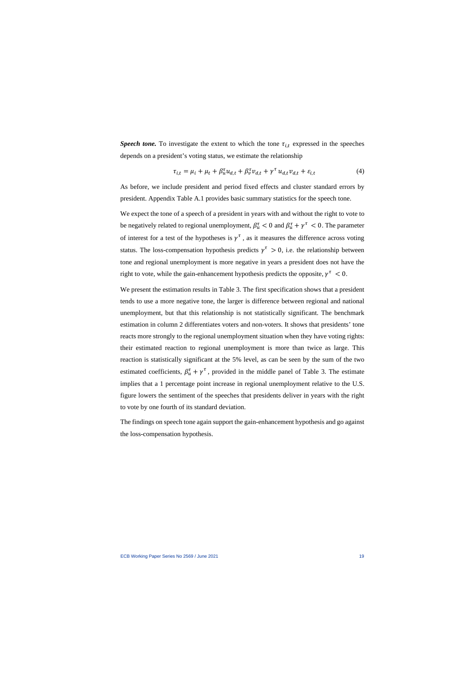*Speech tone.* To investigate the extent to which the tone  $\tau_{i,t}$  expressed in the speeches depends on a president's voting status, we estimate the relationship

$$
\tau_{i,t} = \mu_i + \mu_t + \beta_u^{\tau} u_{d,t} + \beta_v^{\tau} v_{d,t} + \gamma^{\tau} u_{d,t} v_{d,t} + \varepsilon_{i,t}
$$
\n<sup>(4)</sup>

As before, we include president and period fixed effects and cluster standard errors by president. Appendix Table A.1 provides basic summary statistics for the speech tone.

We expect the tone of a speech of a president in years with and without the right to vote to be negatively related to regional unemployment,  $\beta_u^{\tau} < 0$  and  $\beta_u^{\tau} + \gamma^{\tau} < 0$ . The parameter of interest for a test of the hypotheses is  $y^{\tau}$ , as it measures the difference across voting status. The loss-compensation hypothesis predicts  $\gamma^{\tau} > 0$ , i.e. the relationship between tone and regional unemployment is more negative in years a president does not have the right to vote, while the gain-enhancement hypothesis predicts the opposite,  $\gamma^{\tau} < 0$ .

We present the estimation results in Table 3. The first specification shows that a president tends to use a more negative tone, the larger is difference between regional and national unemployment, but that this relationship is not statistically significant. The benchmark estimation in column 2 differentiates voters and non-voters. It shows that presidents' tone reacts more strongly to the regional unemployment situation when they have voting rights: their estimated reaction to regional unemployment is more than twice as large. This reaction is statistically significant at the 5% level, as can be seen by the sum of the two estimated coefficients,  $\beta_u^{\tau} + \gamma^{\tau}$ , provided in the middle panel of Table 3. The estimate implies that a 1 percentage point increase in regional unemployment relative to the U.S. figure lowers the sentiment of the speeches that presidents deliver in years with the right to vote by one fourth of its standard deviation.

The findings on speech tone again support the gain-enhancement hypothesis and go against the loss-compensation hypothesis.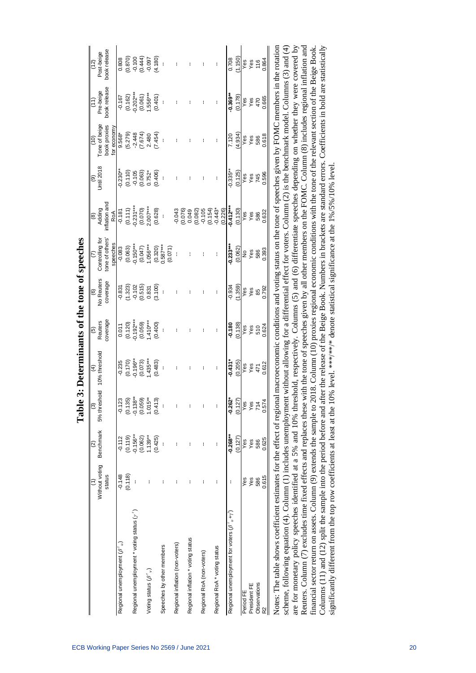|                                                                                                                                                                                  |                          |                          |                                                               | Table 3: Determinants of the tone of speeches |                                                      |                                               |                                                     |                                                                                                  |                                                |                                               |                                                     |                                               |
|----------------------------------------------------------------------------------------------------------------------------------------------------------------------------------|--------------------------|--------------------------|---------------------------------------------------------------|-----------------------------------------------|------------------------------------------------------|-----------------------------------------------|-----------------------------------------------------|--------------------------------------------------------------------------------------------------|------------------------------------------------|-----------------------------------------------|-----------------------------------------------------|-----------------------------------------------|
|                                                                                                                                                                                  |                          | $\widehat{\mathfrak{D}}$ | $\widehat{\mathcal{O}}$                                       | $\overline{4}$                                | $\overline{5}$                                       | $\widehat{\mathbf{e}}$                        | (7)                                                 | $\circledcirc$                                                                                   | $\widehat{\mathbf{e}}$                         | (10)                                          | $\left(11\right)$                                   | (12)                                          |
|                                                                                                                                                                                  | Without voting<br>status | Benchmark                | 5% threshold 10% threshold                                    |                                               | coverage<br>Reuters                                  | No Reuters<br>coverage                        | Controlling for<br>tone of others'                  | nflation and<br>Adding                                                                           | <b>Jntil 2018</b>                              | Tone of beige<br>book proxies                 | book release<br>Pre-beige                           | book release<br>Post-beige                    |
|                                                                                                                                                                                  |                          |                          |                                                               |                                               |                                                      |                                               | speeches                                            | RoA                                                                                              |                                                | for economy                                   |                                                     |                                               |
| Regional unemployment $(\beta^r{}_u)$                                                                                                                                            | $-0.148$                 | $-0.112$                 |                                                               | $-0.235$                                      | 0.011                                                | $-0.831$                                      | $-0.083$                                            | $-0.181$                                                                                         | $-0.230**$                                     | $9.568*$                                      | $-0.167$                                            | 0.808                                         |
|                                                                                                                                                                                  | (0.118)                  | (0.119)                  | $-0.123$<br>$(0.135)$<br>$-0.138**$<br>$(0.059)$<br>$1.015**$ |                                               |                                                      |                                               |                                                     |                                                                                                  |                                                |                                               |                                                     |                                               |
| Regional unemployment * voting status $(y^r)$                                                                                                                                    |                          | $-0.156**$               |                                                               |                                               |                                                      |                                               |                                                     | $(0.111)$<br>$-0.231***$                                                                         |                                                |                                               |                                                     |                                               |
|                                                                                                                                                                                  |                          | (0.062)                  |                                                               | $(0.170)$<br>$-0.196***$<br>$(0.073)$         |                                                      |                                               |                                                     |                                                                                                  |                                                |                                               |                                                     |                                               |
| Voting status $(\beta^{\tau}{}_{\nu})$                                                                                                                                           | I                        | $1.139***$               |                                                               | $1.435***$                                    | $(0.120)$<br>$-0.192***$<br>$(0.059)$<br>$(1.410***$ | $(1.323)$<br>$-0.102$<br>$(0.515)$<br>$0.831$ | $(0.063)$<br>$-0.150***$<br>$(0.047)$<br>$1.056***$ | $(0.070)$<br>2.007***                                                                            | $(0.110)$<br>$-0.105$<br>$(0.063)$<br>$0.752*$ | $(5.279)$<br>$-2.448$<br>$(7.674)$<br>$2.480$ | $(0.162)$<br>$-0.202***$<br>$(0.061)$<br>$1.556***$ | $(0.870)$<br>$-0.100$<br>$-0.100$<br>$-0.050$ |
|                                                                                                                                                                                  |                          | (0.425)                  | (0.413)                                                       | (0.483)                                       | (0.400)                                              | (3.100)                                       | $(0.320)$<br>$0.587***$                             | (0.628)                                                                                          | (0.406)                                        | (7.454)                                       | (0.401)                                             | (4.180)                                       |
| Speeches by other members                                                                                                                                                        | ł                        |                          | ł                                                             | I                                             |                                                      |                                               |                                                     | ł                                                                                                | ł                                              | ł                                             |                                                     |                                               |
|                                                                                                                                                                                  |                          |                          |                                                               |                                               |                                                      |                                               | (0.071)                                             |                                                                                                  |                                                |                                               |                                                     |                                               |
| Regional inflation (non-voters)                                                                                                                                                  | I                        | I                        | ł                                                             |                                               |                                                      |                                               |                                                     |                                                                                                  |                                                |                                               |                                                     |                                               |
|                                                                                                                                                                                  |                          |                          |                                                               |                                               |                                                      |                                               |                                                     |                                                                                                  |                                                |                                               |                                                     |                                               |
| Regional inflation * voting status                                                                                                                                               | ł                        | I                        | ł                                                             |                                               |                                                      |                                               |                                                     |                                                                                                  |                                                |                                               |                                                     |                                               |
|                                                                                                                                                                                  |                          |                          |                                                               |                                               |                                                      |                                               |                                                     | $-0.043$<br>$(0.076)$<br>$0.049$<br>$(0.082)$<br>$(0.154)$<br>$(0.154)$<br>$-0.154$ <sup>3</sup> |                                                |                                               |                                                     |                                               |
| Regional RoA (non-voters)                                                                                                                                                        | ł                        | I                        | ł                                                             |                                               |                                                      |                                               |                                                     |                                                                                                  |                                                |                                               |                                                     |                                               |
|                                                                                                                                                                                  |                          |                          |                                                               |                                               |                                                      |                                               |                                                     |                                                                                                  |                                                |                                               |                                                     |                                               |
| Regional RoA * voting status                                                                                                                                                     | ł                        | I                        | ł                                                             |                                               |                                                      |                                               |                                                     |                                                                                                  |                                                |                                               |                                                     |                                               |
|                                                                                                                                                                                  |                          |                          |                                                               |                                               |                                                      |                                               |                                                     | (0.226)                                                                                          |                                                |                                               |                                                     |                                               |
| Regional unemployment for voters $(\beta^r_{u} + \gamma^r)$                                                                                                                      | t                        | $-0.268***$              | $-0.262*$                                                     | $-0.431*$                                     | $-0.180$                                             | $-0.934$                                      | $-0.233***$                                         | $-0.412***$                                                                                      | $-0.335***$                                    | 7.120                                         | $-0.369**$                                          | 0.708                                         |
|                                                                                                                                                                                  |                          | (0.127)                  | (0.127)                                                       | (0.205)                                       | (0.138)                                              | (1.359)                                       | (0.062)                                             | (0.130)                                                                                          | (0.125)                                        | (4.934)                                       | (0.178)                                             | (1.150)                                       |
| Period FE                                                                                                                                                                        | Yes                      | Yes                      | Yes                                                           | Yes                                           | Yes                                                  | Yes                                           | $\frac{\mathsf{o}}{\mathsf{c}}$                     | səy                                                                                              | səy                                            | sə <sub>X</sub>                               | Yes                                                 | Yes                                           |
| President FE                                                                                                                                                                     | Yes                      | Yes                      | Yes                                                           | Yes                                           | Yes                                                  | $rac{62}{66}$<br>0.792                        | Yes                                                 | Yes                                                                                              |                                                | Yes                                           | Yes                                                 | Yes                                           |
| Observations                                                                                                                                                                     | 586                      | 586                      | 714                                                           |                                               | 510                                                  |                                               |                                                     | 586                                                                                              |                                                | 586                                           | 470                                                 |                                               |
| $\approx$                                                                                                                                                                        | 0.615                    | 0.625                    | 0.574                                                         | 471<br>0.612                                  | 0.624                                                |                                               | 586<br>0.393                                        | 0.632                                                                                            | Yes<br>745<br>0.596                            | 0.618                                         | 0.665                                               | 116<br>0.864                                  |
| Notes: The table shows coefficient estimates for the effect of regional macroeconomic conditions and voting status on the tone of speeches given by FOMC members in the rotation |                          |                          |                                                               |                                               |                                                      |                                               |                                                     |                                                                                                  |                                                |                                               |                                                     |                                               |
| coheme following equation (4) Column (1) includes upermologyment without allowing for a differential effect for woters. Column (2) is the benchmark model Columns (3) and (4)    |                          |                          |                                                               |                                               |                                                      |                                               |                                                     |                                                                                                  |                                                |                                               |                                                     |                                               |

scheme, following equation (4). Column (1) includes unemployment without allowing for a differential effect for voters. Column (2) is the benchmark model. Columns (3) and (4) scheme, following equation (4). Column (1) includes unemployment without allowing for a differential effect for voters. Column (2) is the benchmark model. Columns (3) and (4) are for monetary policy speeches identified at a 5% and 10% threshold, respectively. Columns (5) and (6) differentiate speeches depending on whether they were covered by are for monetary policy speeches identified at a 5% and 10% threshold, respectively. Columns (5) and (6) differentiate speeches depending on whether they were covered by Reuters. Column (7) excludes time fixed effects and replaces these with the tone of speeches given by all other members on the FOMC. Column (8) includes regional inflation and Reuters. Column (7) excludes time fixed effects and replaces these with the tone of speeches given by all other members on the FOMC. Column (8) includes regional inflation and financial sector return on assets. Column (9) extends the sample to 2018. Column (10) proxies regional economic conditions with the tone of the relevant section of the Beige Book. financial sector return on assets. Column (9) extends the sample to 2018. Column (10) proxies regional economic conditions with the tone of the relevant section of the Beige Book. Columns (11) and (12) split the sample into the period before and after the release of the Beige Book. Numbers in brackets are standard errors. Coefficients in bold are statistically Columns (11) and (12) split the sample into the period before and after the release of the Beige Book. Numbers in brackets are standard errors. Coefficients in bold are statistically significantly different from the top row coefficients at least at the 10% level. \*\*\* /\* denote statistical significance at the 1%/5%/10% level. significantly different from the top row coefficients at least at the 10% level. \*\*\*/\* denote statistical significance at the 1%/5%/10% level.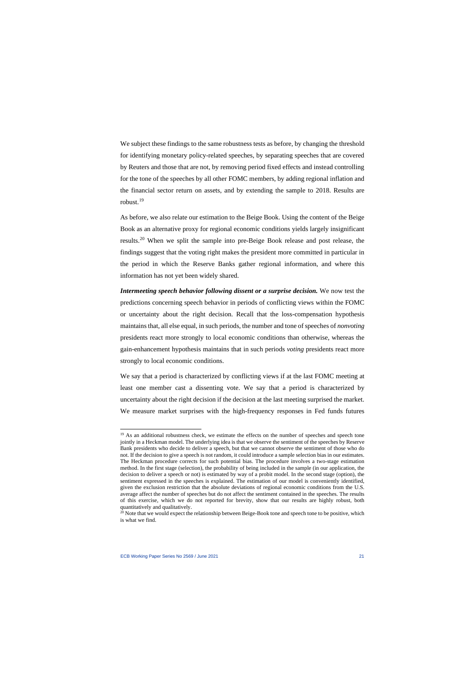We subject these findings to the same robustness tests as before, by changing the threshold for identifying monetary policy-related speeches, by separating speeches that are covered by Reuters and those that are not, by removing period fixed effects and instead controlling for the tone of the speeches by all other FOMC members, by adding regional inflation and the financial sector return on assets, and by extending the sample to 2018. Results are robust.[19](#page-21-0)

As before, we also relate our estimation to the Beige Book. Using the content of the Beige Book as an alternative proxy for regional economic conditions yields largely insignificant results.[20](#page-21-1) When we split the sample into pre-Beige Book release and post release, the findings suggest that the voting right makes the president more committed in particular in the period in which the Reserve Banks gather regional information, and where this information has not yet been widely shared.

*Intermeeting speech behavior following dissent or a surprise decision.* We now test the predictions concerning speech behavior in periods of conflicting views within the FOMC or uncertainty about the right decision. Recall that the loss-compensation hypothesis maintains that, all else equal, in such periods, the number and tone of speeches of *nonvoting* presidents react more strongly to local economic conditions than otherwise, whereas the gain-enhancement hypothesis maintains that in such periods *voting* presidents react more strongly to local economic conditions.

We say that a period is characterized by conflicting views if at the last FOMC meeting at least one member cast a dissenting vote. We say that a period is characterized by uncertainty about the right decision if the decision at the last meeting surprised the market. We measure market surprises with the high-frequency responses in Fed funds futures

<sup>&</sup>lt;sup>19</sup> As an additional robustness check, we estimate the effects on the number of speeches and speech tone jointly in a Heckman model. The underlying idea is that we observe the sentiment of the speeches by Reserve Bank presidents who decide to deliver a speech, but that we cannot observe the sentiment of those who do not. If the decision to give a speech is not random, it could introduce a sample selection bias in our estimates. The Heckman procedure corrects for such potential bias. The procedure involves a two-stage estimation method. In the first stage (selection), the probability of being included in the sample (in our application, the decision to deliver a speech or not) is estimated by way of a probit model. In the second stage (option), the sentiment expressed in the speeches is explained. The estimation of our model is conveniently identified, given the exclusion restriction that the absolute deviations of regional economic conditions from the U.S. average affect the number of speeches but do not affect the sentiment contained in the speeches. The results of this exercise, which we do not reported for brevity, show that our results are highly robust, both quantitatively and qualitatively.

<span id="page-21-1"></span><span id="page-21-0"></span><sup>&</sup>lt;sup>20</sup> Note that we would expect the relationship between Beige-Book tone and speech tone to be positive, which is what we find.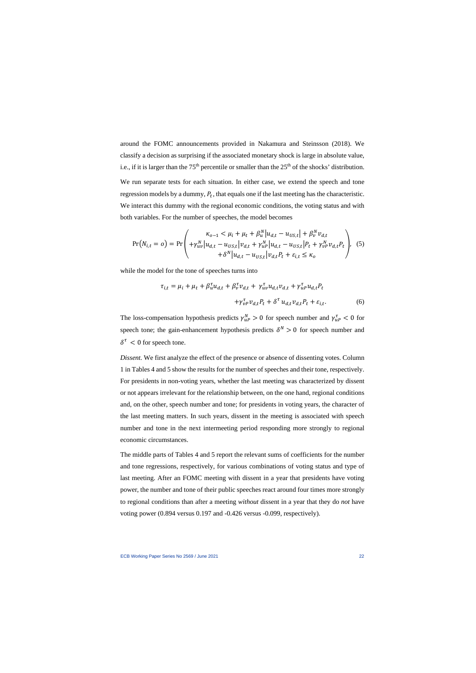around the FOMC announcements provided in Nakamura and Steinsson (2018). We classify a decision as surprising if the associated monetary shock is large in absolute value, i.e., if it is larger than the  $75<sup>th</sup>$  percentile or smaller than the  $25<sup>th</sup>$  of the shocks' distribution. We run separate tests for each situation. In either case, we extend the speech and tone regression models by a dummy,  $P_t$ , that equals one if the last meeting has the characteristic. We interact this dummy with the regional economic conditions, the voting status and with both variables. For the number of speeches, the model becomes

$$
Pr(N_{i,t} = o) = Pr\left(\begin{array}{l} \kappa_{o-1} < \mu_i + \mu_t + \beta_u^N |u_{d,t} - u_{US,t}| + \beta_v^N v_{d,t} \\ + \gamma_{uv}^N |u_{d,t} - u_{US,t}|v_{d,t} + \gamma_{uv}^N |u_{d,t} - u_{US,t}|P_t + \gamma_{vv}^N v_{d,t}P_t \\ + \delta^N |u_{d,t} - u_{US,t}|v_{d,t}P_t + \varepsilon_{i,t} \le \kappa_o \end{array}\right), \quad (5)
$$

while the model for the tone of speeches turns into

$$
\tau_{i,t} = \mu_i + \mu_t + \beta_u^{\tau} u_{d,t} + \beta_v^{\tau} v_{d,t} + \gamma_{uv}^{\tau} u_{d,t} v_{d,t} + \gamma_{u}^{\tau} u_{d,t} P_t
$$
  
 
$$
+ \gamma_{v}^{\tau} v_{d,t} P_t + \delta^{\tau} u_{d,t} v_{d,t} P_t + \varepsilon_{i,t}.
$$
 (6)

The loss-compensation hypothesis predicts  $\gamma_{u}^{N} > 0$  for speech number and  $\gamma_{u}^{T} < 0$  for speech tone; the gain-enhancement hypothesis predicts  $\delta^N > 0$  for speech number and  $\delta^{\tau}$  < 0 for speech tone.

*Dissent.* We first analyze the effect of the presence or absence of dissenting votes. Column 1 in Tables 4 and 5 show the results for the number of speeches and their tone, respectively. For presidents in non-voting years, whether the last meeting was characterized by dissent or not appears irrelevant for the relationship between, on the one hand, regional conditions and, on the other, speech number and tone; for presidents in voting years, the character of the last meeting matters. In such years, dissent in the meeting is associated with speech number and tone in the next intermeeting period responding more strongly to regional economic circumstances.

The middle parts of Tables 4 and 5 report the relevant sums of coefficients for the number and tone regressions, respectively, for various combinations of voting status and type of last meeting. After an FOMC meeting with dissent in a year that presidents have voting power, the number and tone of their public speeches react around four times more strongly to regional conditions than after a meeting *without* dissent in a year that they do *not* have voting power (0.894 versus 0.197 and -0.426 versus -0.099, respectively).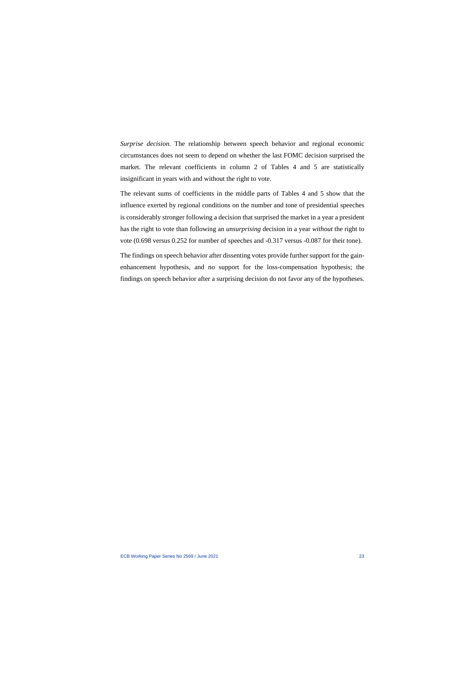*Surprise decision.* The relationship between speech behavior and regional economic circumstances does not seem to depend on whether the last FOMC decision surprised the market. The relevant coefficients in column 2 of Tables 4 and 5 are statistically insignificant in years with and without the right to vote.

The relevant sums of coefficients in the middle parts of Tables 4 and 5 show that the influence exerted by regional conditions on the number and tone of presidential speeches is considerably stronger following a decision that surprised the market in a year a president has the right to vote than following an *unsurprising* decision in a year *without* the right to vote (0.698 versus 0.252 for number of speeches and -0.317 versus -0.087 for their tone).

The findings on speech behavior after dissenting votes provide further support for the gainenhancement hypothesis, and no support for the loss-compensation hypothesis; the findings on speech behavior after a surprising decision do not favor any of the hypotheses.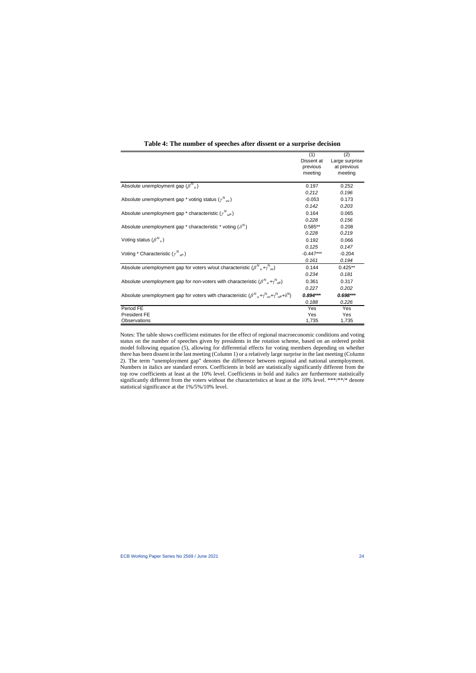|                                                                                                                               | (1)         | (2)            |
|-------------------------------------------------------------------------------------------------------------------------------|-------------|----------------|
|                                                                                                                               | Dissent at  | Large surprise |
|                                                                                                                               | previous    | at previous    |
|                                                                                                                               | meeting     | meeting        |
|                                                                                                                               |             |                |
| Absolute unemployment gap $(\beta^{N}{}_{u})$                                                                                 | 0.197       | 0.252          |
|                                                                                                                               | 0.212       | 0.196          |
| Absolute unemployment gap * voting status $(\gamma_{uv})$                                                                     | $-0.053$    | 0.173          |
|                                                                                                                               | 0.142       | 0.203          |
| Absolute unemployment gap * characteristic $(\gamma_{\mu}^N)$                                                                 | 0.164       | 0.065          |
|                                                                                                                               | 0.228       | 0.156          |
| Absolute unemployment gap * characteristic * voting $(\delta^N)$                                                              | $0.585**$   | 0.208          |
|                                                                                                                               | 0.228       | 0.219          |
| Voting status $(\beta^{N}$ <sub>v</sub> )                                                                                     | 0.192       | 0.066          |
|                                                                                                                               | 0.125       | 0.147          |
| Voting * Characteristic $(\gamma_{\nu\rho})$                                                                                  | $-0.447***$ | $-0.204$       |
|                                                                                                                               | 0.161       | 0.194          |
| Absolute unemployment gap for voters w/out characteristic $(\beta^{N}{}_{ii} + \gamma^{N}{}_{ii})$                            | 0.144       | $0.425**$      |
|                                                                                                                               | 0.234       | 0.181          |
| Absolute unemployment gap for non-voters with characteristic $(\beta_{\mu}^N + \gamma_{\mu}^N)$                               | 0.361       | 0.317          |
|                                                                                                                               | 0.227       | 0.202          |
| Absolute unemployment gap for voters with characteristic $(\beta_{\mu}^N + \gamma_{\mu}^N + \gamma_{\mu}^N + \delta_{\mu}^N)$ | $0.894***$  | $0.698***$     |
|                                                                                                                               | 0.188       | 0.226          |
| Period FE                                                                                                                     | Yes         | Yes            |
| <b>President FE</b>                                                                                                           | Yes         | Yes            |
| Observations                                                                                                                  | 1,735       | 1,735          |

### **Table 4: The number of speeches after dissent or a surprise decision**

Notes: The table shows coefficient estimates for the effect of regional macroeconomic conditions and voting status on the number of speeches given by presidents in the rotation scheme, based on an ordered probit model following equation (5), allowing for differential effects for voting members depending on whether there has been dissent in the last meeting (Column 1) or a relatively large surprise in the last meeting (Column 2). The term "unemployment gap" denotes the difference between regional and national unemployment. Numbers in italics are standard errors. Coefficients in bold are statistically significantly different from the top row coefficients at least at the 10% level. Coefficients in bold and italics are furthermore statistically significantly different from the voters without the characteristics at least at the 10% level. \*\*\*/\*\*/\* denote statistical significance at the 1%/5%/10% level.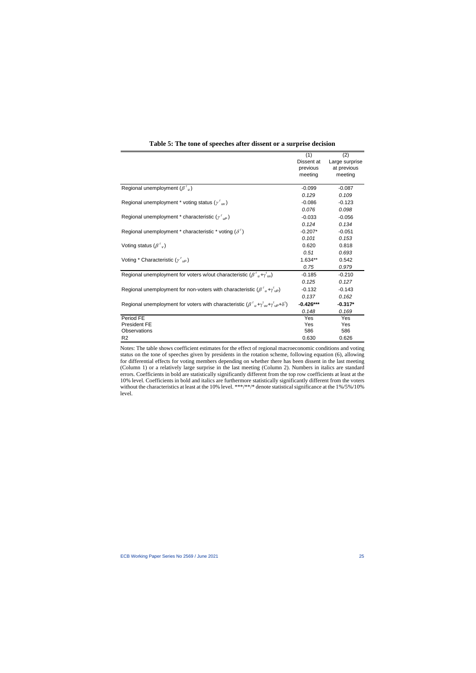|                                                                                                                                          | (1)         | (2)            |
|------------------------------------------------------------------------------------------------------------------------------------------|-------------|----------------|
|                                                                                                                                          | Dissent at  | Large surprise |
|                                                                                                                                          | previous    | at previous    |
|                                                                                                                                          | meeting     | meeting        |
| Regional unemployment $(\beta^{\tau}{}_{\mu})$                                                                                           | $-0.099$    | $-0.087$       |
|                                                                                                                                          | 0.129       | 0.109          |
| Regional unemployment * voting status ( $\gamma^{\tau}{}_{\mu\nu}$ )                                                                     | $-0.086$    | $-0.123$       |
|                                                                                                                                          | 0.076       | 0.098          |
| Regional unemployment * characteristic ( $\gamma^{\tau}{}_{\mu}$ )                                                                       | $-0.033$    | $-0.056$       |
|                                                                                                                                          | 0.124       | 0.134          |
| Regional unemployment * characteristic * voting $(\delta^{\tau})$                                                                        | $-0.207*$   | $-0.051$       |
|                                                                                                                                          | 0.101       | 0.153          |
| Voting status $(\beta^{\tau}$ <sub>v</sub> )                                                                                             | 0.620       | 0.818          |
|                                                                                                                                          | 0.51        | 0.693          |
| Voting * Characteristic $(\gamma^{\tau}{}_{\nu P})$                                                                                      | $1.634**$   | 0.542          |
|                                                                                                                                          | 0.75        | 0.979          |
| Regional unemployment for voters w/out characteristic ( $\beta^{\tau}{}_{\mu} + \gamma^{\tau}{}_{\nu}$ )                                 | $-0.185$    | $-0.210$       |
|                                                                                                                                          | 0.125       | 0.127          |
| Regional unemployment for non-voters with characteristic ( $\beta^{\tau}{}_{\mu}$ + $\gamma^{\tau}{}_{\nu}$ )                            | $-0.132$    | $-0.143$       |
|                                                                                                                                          | 0.137       | 0.162          |
| Regional unemployment for voters with characteristic $(\beta^{\tau}{}_{u} + \gamma^{\tau}{}_{uv} + \gamma^{\tau}{}_{u} + \delta^{\tau})$ | $-0.426***$ | $-0.317*$      |
|                                                                                                                                          | 0.148       | 0.169          |
| Period FE                                                                                                                                | Yes         | Yes            |
| <b>President FE</b>                                                                                                                      | Yes         | Yes            |
| Observations                                                                                                                             | 586         | 586            |
| R <sub>2</sub>                                                                                                                           | 0.630       | 0.626          |

### **Table 5: The tone of speeches after dissent or a surprise decision**

Notes: The table shows coefficient estimates for the effect of regional macroeconomic conditions and voting status on the tone of speeches given by presidents in the rotation scheme, following equation (6), allowing for differential effects for voting members depending on whether there has been dissent in the last meeting (Column 1) or a relatively large surprise in the last meeting (Column 2). Numbers in italics are standard errors. Coefficients in bold are statistically significantly different from the top row coefficients at least at the 10% level. Coefficients in bold and italics are furthermore statistically significantly different from the voters without the characteristics at least at the 10% level. \*\*\*/\*\*/\* denote statistical significance at the 1%/5%/10% level.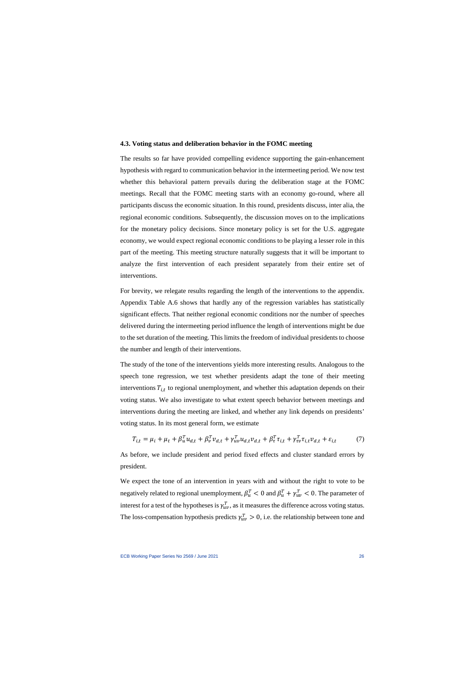#### **4.3. Voting status and deliberation behavior in the FOMC meeting**

The results so far have provided compelling evidence supporting the gain-enhancement hypothesis with regard to communication behavior in the intermeeting period. We now test whether this behavioral pattern prevails during the deliberation stage at the FOMC meetings. Recall that the FOMC meeting starts with an economy go-round, where all participants discuss the economic situation. In this round, presidents discuss, inter alia, the regional economic conditions. Subsequently, the discussion moves on to the implications for the monetary policy decisions. Since monetary policy is set for the U.S. aggregate economy, we would expect regional economic conditions to be playing a lesser role in this part of the meeting. This meeting structure naturally suggests that it will be important to analyze the first intervention of each president separately from their entire set of interventions.

For brevity, we relegate results regarding the length of the interventions to the appendix. Appendix Table A.6 shows that hardly any of the regression variables has statistically significant effects. That neither regional economic conditions nor the number of speeches delivered during the intermeeting period influence the length of interventions might be due to the set duration of the meeting. This limits the freedom of individual presidents to choose the number and length of their interventions.

The study of the tone of the interventions yields more interesting results. Analogous to the speech tone regression, we test whether presidents adapt the tone of their meeting interventions  $T_{i,t}$  to regional unemployment, and whether this adaptation depends on their voting status. We also investigate to what extent speech behavior between meetings and interventions during the meeting are linked, and whether any link depends on presidents' voting status. In its most general form, we estimate

$$
T_{i,t} = \mu_i + \mu_t + \beta_u^T u_{d,t} + \beta_v^T v_{d,t} + \gamma_{uv}^T u_{d,t} v_{d,t} + \beta_\tau^T \tau_{i,t} + \gamma_{\tau \nu}^T \tau_{i,t} v_{d,t} + \varepsilon_{i,t} \tag{7}
$$

As before, we include president and period fixed effects and cluster standard errors by president.

We expect the tone of an intervention in years with and without the right to vote to be negatively related to regional unemployment,  $\beta_u^T < 0$  and  $\beta_u^T + \gamma_{uv}^T < 0$ . The parameter of interest for a test of the hypotheses is  $\gamma_{uv}^T$ , as it measures the difference across voting status. The loss-compensation hypothesis predicts  $\gamma_{uv}^T > 0$ , i.e. the relationship between tone and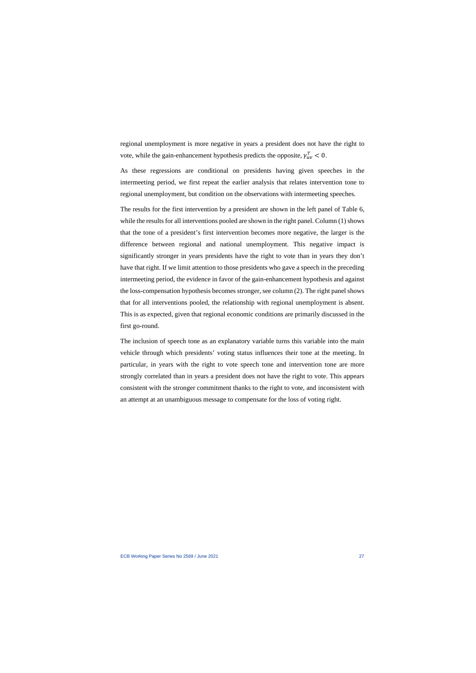regional unemployment is more negative in years a president does not have the right to vote, while the gain-enhancement hypothesis predicts the opposite,  $\gamma_{uv}^T < 0$ .

As these regressions are conditional on presidents having given speeches in the intermeeting period, we first repeat the earlier analysis that relates intervention tone to regional unemployment, but condition on the observations with intermeeting speeches.

The results for the first intervention by a president are shown in the left panel of Table 6, while the results for all interventions pooled are shown in the right panel. Column (1) shows that the tone of a president's first intervention becomes more negative, the larger is the difference between regional and national unemployment. This negative impact is significantly stronger in years presidents have the right to vote than in years they don't have that right. If we limit attention to those presidents who gave a speech in the preceding intermeeting period, the evidence in favor of the gain-enhancement hypothesis and against the loss-compensation hypothesis becomes stronger, see column (2). The right panel shows that for all interventions pooled, the relationship with regional unemployment is absent. This is as expected, given that regional economic conditions are primarily discussed in the first go-round.

The inclusion of speech tone as an explanatory variable turns this variable into the main vehicle through which presidents' voting status influences their tone at the meeting. In particular, in years with the right to vote speech tone and intervention tone are more strongly correlated than in years a president does not have the right to vote. This appears consistent with the stronger commitment thanks to the right to vote, and inconsistent with an attempt at an unambiguous message to compensate for the loss of voting right.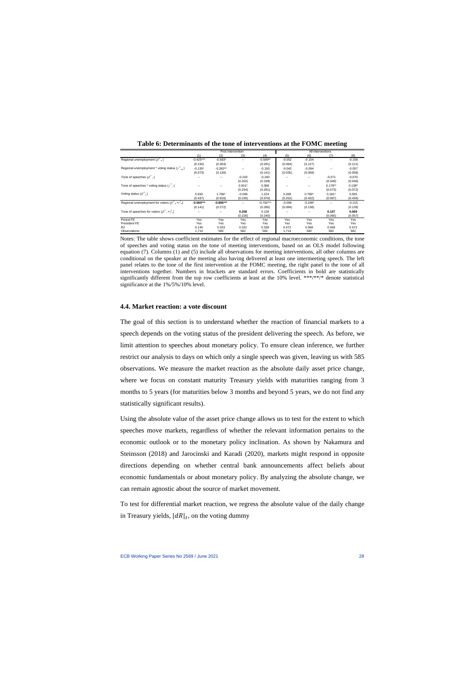|                                                             |             | First intervention |                          |             |          |           | All interventions |          |
|-------------------------------------------------------------|-------------|--------------------|--------------------------|-------------|----------|-----------|-------------------|----------|
|                                                             | (1)         | (2)                | (3)                      | (4)         | (5)      | (6)       | (7)               | (8)      |
| Regional unemployment $(\beta',\alpha)$                     | $-0.425***$ | $-0.583*$          | $\overline{\phantom{a}}$ | $-0.599**$  | $-0.052$ | $-0.154$  | $\sim$            | $-0.158$ |
|                                                             | (0.150)     | (0.304)            |                          | (0.281)     | (0.084)  | (0.127)   |                   | (0.121)  |
| Regional unemployment * voting status ( $\gamma^T{}_{uv}$ ) | $-0.135*$   | $-0.282**$         | $\sim$                   | $-0.193$    | $-0.042$ | $-0.094$  | $\sim$            | $-0.057$ |
|                                                             | (0.073)     | (0.130)            |                          | (0.141)     | (0.035)  | (0.058)   |                   | (0.058)  |
| Tone of speeches $(\beta^{\prime},)$                        |             |                    | $-0.243$                 | $-0.240$    |          |           | $-0.071$          | $-0.070$ |
|                                                             |             |                    | (0.202)                  | (0.199)     |          |           | (0.049)           | (0.049)  |
| Tone of speeches * voting status $(\gamma', \gamma)$        | $\sim$      | ۰.                 | $0.501*$                 | 0.368       | $-$      | ۰.        | $0.178**$         | $0.139*$ |
|                                                             |             |                    | (0.254)                  | (0.281)     |          |           | (0.073)           | (0.072)  |
| Voting status $(\beta^T)$                                   | 0.550       | 1.756*             | $-0.048$                 | 1.224       | 0.269    | $0.780*$  | $0.181*$          | 0.555    |
|                                                             | (0.437)     | (0.916)            | (0.230)                  | (0.976)     | (0.252)  | (0.432)   | (0.097)           | (0.434)  |
| Regional unemployment for voters $(\beta^T, +\gamma^T)$     | $-0.560***$ | $-0.865***$        |                          | $-0.792***$ | $-0.094$ | $-0.248*$ | $\sim$            | $-0.215$ |
|                                                             | (0.141)     | (0.272)            |                          | (0.280)     | (0.084)  | (0.138)   |                   | (0.139)  |
| Tone of speeches for voters $(\beta^T, +\gamma^T)$          |             |                    | 0.258                    | 0.128       |          | --        | 0.107             | 0.069    |
|                                                             |             |                    | (0.226)                  | (0.240)     |          |           | (0.065)           | (0.057)  |
| Period FE                                                   | Yes         | Yes                | Yes                      | Yes         | Yes      | Yes       | Yes               | Yes      |
| President FE                                                | Yes         | Yes                | Yes                      | Yes         | Yes      | Yes       | Yes               | Yes      |
| R <sub>2</sub>                                              | 0.145       | 0.333              | 0.331                    | 0.339       | 0.472    | 0.568     | 0.569             | 0.572    |
| Observations                                                | 1,714       | 582                | 582                      | 582         | 1,714    | 582       | 582               | 582      |

**Table 6: Determinants of the tone of interventions at the FOMC meeting**

Notes: The table shows coefficient estimates for the effect of regional macroeconomic conditions, the tone of speeches and voting status on the tone of meeting interventions, based on an OLS model following equation (7). Columns (1) and (5) include all observations for meeting interventions, all other columns are conditional on the speaker at the meeting also having delivered at least one intermeeting speech. The left panel relates to the tone of the first intervention at the FOMC meeting, the right panel to the tone of all interventions together. Numbers in brackets are standard errors. Coefficients in bold are statistically significantly different from the top row coefficients at least at the 10% level. \*\*\*/\*\*/\* denote statistical significance at the 1%/5%/10% level.

#### **4.4. Market reaction: a vote discount**

The goal of this section is to understand whether the reaction of financial markets to a speech depends on the voting status of the president delivering the speech. As before, we limit attention to speeches about monetary policy. To ensure clean inference, we further restrict our analysis to days on which only a single speech was given, leaving us with 585 observations. We measure the market reaction as the absolute daily asset price change, where we focus on constant maturity Treasury yields with maturities ranging from 3 months to 5 years (for maturities below 3 months and beyond 5 years, we do not find any statistically significant results).

Using the absolute value of the asset price change allows us to test for the extent to which speeches move markets, regardless of whether the relevant information pertains to the economic outlook or to the monetary policy inclination. As shown by Nakamura and Steinsson (2018) and Jarocinski and Karadi (2020), markets might respond in opposite directions depending on whether central bank announcements affect beliefs about economic fundamentals or about monetary policy. By analyzing the absolute change, we can remain agnostic about the source of market movement.

To test for differential market reaction, we regress the absolute value of the daily change in Treasury yields,  $|dR|_t$ , on the voting dummy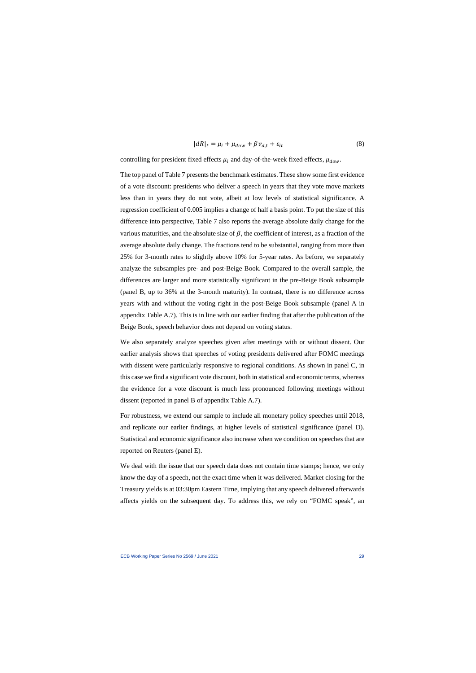$$
|dR|_t = \mu_i + \mu_{down} + \beta v_{d,t} + \varepsilon_{it}
$$
\n(8)

controlling for president fixed effects  $\mu_i$  and day-of-the-week fixed effects,  $\mu_{dow}$ .

The top panel of Table 7 presents the benchmark estimates. These show some first evidence of a vote discount: presidents who deliver a speech in years that they vote move markets less than in years they do not vote, albeit at low levels of statistical significance. A regression coefficient of 0.005 implies a change of half a basis point. To put the size of this difference into perspective, Table 7 also reports the average absolute daily change for the various maturities, and the absolute size of  $\beta$ , the coefficient of interest, as a fraction of the average absolute daily change. The fractions tend to be substantial, ranging from more than 25% for 3-month rates to slightly above 10% for 5-year rates. As before, we separately analyze the subsamples pre- and post-Beige Book. Compared to the overall sample, the differences are larger and more statistically significant in the pre-Beige Book subsample (panel B, up to 36% at the 3-month maturity). In contrast, there is no difference across years with and without the voting right in the post-Beige Book subsample (panel A in appendix Table A.7). This is in line with our earlier finding that after the publication of the Beige Book, speech behavior does not depend on voting status.

We also separately analyze speeches given after meetings with or without dissent. Our earlier analysis shows that speeches of voting presidents delivered after FOMC meetings with dissent were particularly responsive to regional conditions. As shown in panel C, in this case we find a significant vote discount, both in statistical and economic terms, whereas the evidence for a vote discount is much less pronounced following meetings without dissent (reported in panel B of appendix Table A.7).

For robustness, we extend our sample to include all monetary policy speeches until 2018, and replicate our earlier findings, at higher levels of statistical significance (panel D). Statistical and economic significance also increase when we condition on speeches that are reported on Reuters (panel E).

We deal with the issue that our speech data does not contain time stamps; hence, we only know the day of a speech, not the exact time when it was delivered. Market closing for the Treasury yields is at 03:30pm Eastern Time, implying that any speech delivered afterwards affects yields on the subsequent day. To address this, we rely on "FOMC speak", an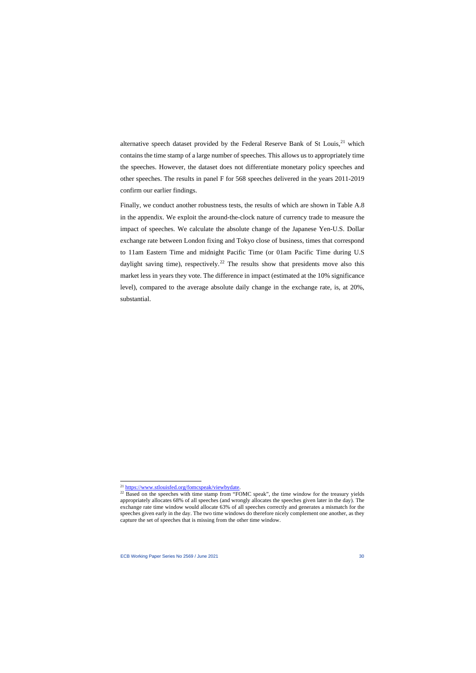alternative speech dataset provided by the Federal Reserve Bank of St Louis.<sup>[21](#page-30-0)</sup> which contains the time stamp of a large number of speeches. This allows us to appropriately time the speeches. However, the dataset does not differentiate monetary policy speeches and other speeches. The results in panel F for 568 speeches delivered in the years 2011-2019 confirm our earlier findings.

Finally, we conduct another robustness tests, the results of which are shown in Table A.8 in the appendix. We exploit the around-the-clock nature of currency trade to measure the impact of speeches. We calculate the absolute change of the Japanese Yen-U.S. Dollar exchange rate between London fixing and Tokyo close of business, times that correspond to 11am Eastern Time and midnight Pacific Time (or 01am Pacific Time during U.S daylight saving time), respectively.<sup>[22](#page-30-1)</sup> The results show that presidents move also this market less in years they vote. The difference in impact (estimated at the 10% significance level), compared to the average absolute daily change in the exchange rate, is, at 20%, substantial.

<span id="page-30-1"></span><span id="page-30-0"></span>

 $21 \frac{\text{https://www.stlouisfed.org/fomcspeak/viewbydate.}}{22 \text{ Based on the species with time stamp from "FOMC speak", the time window for the Treasury yields}}$  $21 \frac{\text{https://www.stlouisfed.org/fomcspeak/viewbydate.}}{22 \text{ Based on the species with time stamp from "FOMC speak", the time window for the Treasury yields}}$  $21 \frac{\text{https://www.stlouisfed.org/fomcspeak/viewbydate.}}{22 \text{ Based on the species with time stamp from "FOMC speak", the time window for the Treasury yields}}$ appropriately allocates 68% of all speeches (and wrongly allocates the speeches given later in the day). The exchange rate time window would allocate 63% of all speeches correctly and generates a mismatch for the speeches given early in the day. The two time windows do therefore nicely complement one another, as they capture the set of speeches that is missing from the other time window.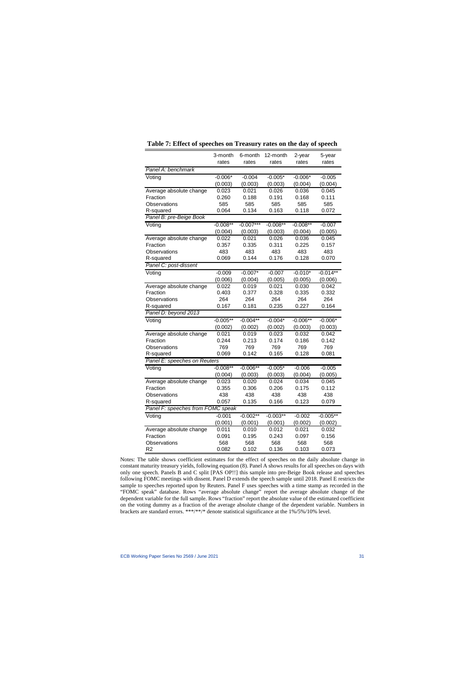|                                   | 3-month<br>rates | 6-month<br>rates | 12-month<br>rates | 2-year<br>rates | 5-year<br>rates |
|-----------------------------------|------------------|------------------|-------------------|-----------------|-----------------|
| Panel A: benchmark                |                  |                  |                   |                 |                 |
| Voting                            | $-0.006*$        | $-0.004$         | $-0.005*$         | $-0.006*$       | $-0.005$        |
|                                   | (0.003)          | (0.003)          | (0.003)           | (0.004)         | (0.004)         |
| Average absolute change           | 0.023            | 0.021            | 0.026             | 0.036           | 0.045           |
| Fraction                          | 0.260            | 0.188            | 0.191             | 0.168           | 0.111           |
| Observations                      | 585              | 585              | 585               | 585             | 585             |
| R-squared                         | 0.064            | 0.134            | 0.163             | 0.118           | 0.072           |
| Panel B: pre-Beige Book           |                  |                  |                   |                 |                 |
| Voting                            | $-0.008**$       | $-0.007***$      | $-0.008**$        | $-0.008**$      | $-0.007$        |
|                                   | (0.004)          | (0.003)          | (0.003)           | (0.004)         | (0.005)         |
| Average absolute change           | 0.022            | 0.021            | 0.026             | 0.036           | 0.045           |
| Fraction                          | 0.357            | 0.335            | 0.311             | 0.225           | 0.157           |
| Observations                      | 483              | 483              | 483               | 483             | 483             |
| R-squared                         | 0.069            | 0.144            | 0.176             | 0.128           | 0.070           |
| Panel C: post-dissent             |                  |                  |                   |                 |                 |
| Voting                            | $-0.009$         | $-0.007*$        | $-0.007$          | $-0.010*$       | $-0.014**$      |
|                                   | (0.006)          | (0.004)          | (0.005)           | (0.005)         | (0.006)         |
| Average absolute change           | 0.022            | 0.019            | 0.021             | 0.030           | 0.042           |
| Fraction                          | 0.403            | 0.377            | 0.328             | 0.335           | 0.332           |
| Observations                      | 264              | 264              | 264               | 264             | 264             |
| R-squared                         | 0.167            | 0.181            | 0.235             | 0.227           | 0.164           |
| Panel D: beyond 2013              |                  |                  |                   |                 |                 |
| Voting                            | $-0.005**$       | $-0.004**$       | $-0.004*$         | $-0.006**$      | $-0.006*$       |
|                                   | (0.002)          | (0.002)          | (0.002)           | (0.003)         | (0.003)         |
| Average absolute change           | 0.021            | 0.019            | 0.023             | 0.032           | 0.042           |
| Fraction                          | 0.244            | 0.213            | 0.174             | 0.186           | 0.142           |
| Observations                      | 769              | 769              | 769               | 769             | 769             |
| R-squared                         | 0.069            | 0.142            | 0.165             | 0.128           | 0.081           |
| Panel E: speeches on Reuters      |                  |                  |                   |                 |                 |
| Voting                            | $-0.008**$       | $-0.006**$       | $-0.005*$         | $-0.006$        | $-0.005$        |
|                                   | (0.004)          | (0.003)          | (0.003)           | (0.004)         | (0.005)         |
| Average absolute change           | 0.023            | 0.020            | 0.024             | 0.034           | 0.045           |
| Fraction                          | 0.355            | 0.306            | 0.206             | 0.175           | 0.112           |
| Observations                      | 438              | 438              | 438               | 438             | 438             |
| R-squared                         | 0.057            | 0.135            | 0.166             | 0.123           | 0.079           |
| Panel F: speeches from FOMC speak |                  |                  |                   |                 |                 |
| Voting                            | $-0.001$         | $-0.002**$       | $-0.003**$        | $-0.002$        | $-0.005**$      |
|                                   | (0.001)          | (0.001)          | (0.001)           | (0.002)         | (0.002)         |
| Average absolute change           | 0.011            | 0.010            | 0.012             | 0.021           | 0.032           |
| Fraction                          | 0.091            | 0.195            | 0.243             | 0.097           | 0.156           |
| Observations                      | 568              | 568              | 568               | 568             | 568             |
| R <sub>2</sub>                    | 0.082            | 0.102            | 0.136             | 0.103           | 0.073           |

Notes: The table shows coefficient estimates for the effect of speeches on the daily absolute change in constant maturity treasury yields, following equation (8). Panel A shows results for all speeches on days with only one speech. Panels B and C split [PAS OP!!] this sample into pre-Beige Book release and speeches following FOMC meetings with dissent. Panel D extends the speech sample until 2018. Panel E restricts the sample to speeches reported upon by Reuters. Panel F uses speeches with a time stamp as recorded in the "FOMC speak" database. Rows "average absolute change" report the average absolute change of the dependent variable for the full sample. Rows "fraction" report the absolute value of the estimated coefficient on the voting dummy as a fraction of the average absolute change of the dependent variable. Numbers in brackets are standard errors. \*\*\*/\*\*/\* denote statistical significance at the 1%/5%/10% level.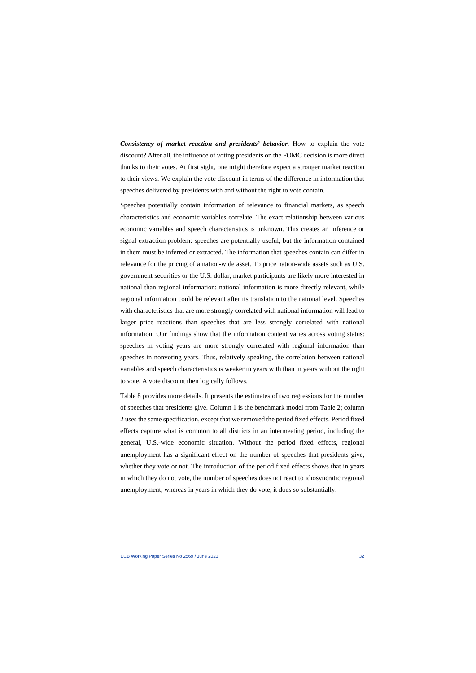*Consistency of market reaction and presidents' behavior.* How to explain the vote discount? After all, the influence of voting presidents on the FOMC decision is more direct thanks to their votes. At first sight, one might therefore expect a stronger market reaction to their views. We explain the vote discount in terms of the difference in information that speeches delivered by presidents with and without the right to vote contain.

Speeches potentially contain information of relevance to financial markets, as speech characteristics and economic variables correlate. The exact relationship between various economic variables and speech characteristics is unknown. This creates an inference or signal extraction problem: speeches are potentially useful, but the information contained in them must be inferred or extracted. The information that speeches contain can differ in relevance for the pricing of a nation-wide asset. To price nation-wide assets such as U.S. government securities or the U.S. dollar, market participants are likely more interested in national than regional information: national information is more directly relevant, while regional information could be relevant after its translation to the national level. Speeches with characteristics that are more strongly correlated with national information will lead to larger price reactions than speeches that are less strongly correlated with national information. Our findings show that the information content varies across voting status: speeches in voting years are more strongly correlated with regional information than speeches in nonvoting years. Thus, relatively speaking, the correlation between national variables and speech characteristics is weaker in years with than in years without the right to vote. A vote discount then logically follows.

Table 8 provides more details. It presents the estimates of two regressions for the number of speeches that presidents give. Column 1 is the benchmark model from Table 2; column 2 uses the same specification, except that we removed the period fixed effects. Period fixed effects capture what is common to all districts in an intermeeting period, including the general, U.S.-wide economic situation. Without the period fixed effects, regional unemployment has a significant effect on the number of speeches that presidents give, whether they vote or not. The introduction of the period fixed effects shows that in years in which they do not vote, the number of speeches does not react to idiosyncratic regional unemployment, whereas in years in which they do vote, it does so substantially.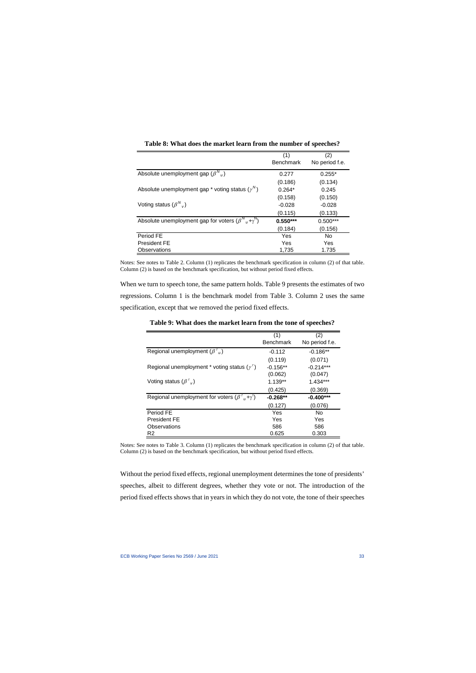|                                                                       | (1)              | (2)            |
|-----------------------------------------------------------------------|------------------|----------------|
|                                                                       | <b>Benchmark</b> | No period f.e. |
| Absolute unemployment gap $(\beta^{N}_{u})$                           | 0.277            | $0.255*$       |
|                                                                       | (0.186)          | (0.134)        |
| Absolute unemployment gap $*$ voting status ( $\gamma^N$ )            | $0.264*$         | 0.245          |
|                                                                       | (0.158)          | (0.150)        |
| Voting status $(\beta^{N}$ <sub>v</sub> )                             | $-0.028$         | $-0.028$       |
|                                                                       | (0.115)          | (0.133)        |
| Absolute unemployment gap for voters $(\beta^{N}{}_{U} + \gamma^{N})$ | $0.550***$       | $0.500***$     |
|                                                                       | (0.184)          | (0.156)        |
| Period FE                                                             | Yes              | No             |
| <b>President FE</b>                                                   | Yes              | Yes            |
| Observations                                                          | 1.735            | 1.735          |

**Table 8: What does the market learn from the number of speeches?**

Notes: See notes to Table 2. Column (1) replicates the benchmark specification in column (2) of that table. Column (2) is based on the benchmark specification, but without period fixed effects.

When we turn to speech tone, the same pattern holds. Table 9 presents the estimates of two regressions. Column 1 is the benchmark model from Table 3. Column 2 uses the same specification, except that we removed the period fixed effects.

|                                                                           | (1)              | (2)            |
|---------------------------------------------------------------------------|------------------|----------------|
|                                                                           | <b>Benchmark</b> | No period f.e. |
| Regional unemployment $(\beta^{\tau}{}_{\mu})$                            | $-0.112$         | $-0.186**$     |
|                                                                           | (0.119)          | (0.071)        |
| Regional unemployment * voting status $(\gamma^{\tau})$                   | $-0.156**$       | $-0.214***$    |
|                                                                           | (0.062)          | (0.047)        |
| Voting status $(\beta^{\tau}{}_{\nu})$                                    | $1.139**$        | 1.434***       |
|                                                                           | (0.425)          | (0.369)        |
| Regional unemployment for voters $(\beta^{\tau}{}_{\mu} + \gamma^{\tau})$ | $-0.268**$       | $-0.400***$    |
|                                                                           | (0.127)          | (0.076)        |
| Period FE                                                                 | Yes              | No             |
| <b>President FE</b>                                                       | Yes              | Yes            |
| Observations                                                              | 586              | 586            |
| R <sub>2</sub>                                                            | 0.625            | 0.303          |

**Table 9: What does the market learn from the tone of speeches?**

Notes: See notes to Table 3. Column (1) replicates the benchmark specification in column (2) of that table. Column (2) is based on the benchmark specification, but without period fixed effects.

Without the period fixed effects, regional unemployment determines the tone of presidents' speeches, albeit to different degrees, whether they vote or not. The introduction of the period fixed effects shows that in years in which they do not vote, the tone of their speeches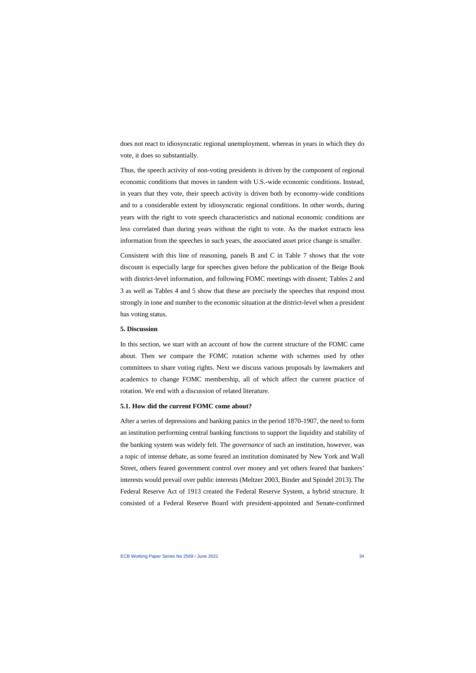does not react to idiosyncratic regional unemployment, whereas in years in which they do vote, it does so substantially.

Thus, the speech activity of non-voting presidents is driven by the component of regional economic conditions that moves in tandem with U.S.-wide economic conditions. Instead, in years that they vote, their speech activity is driven both by economy-wide conditions and to a considerable extent by idiosyncratic regional conditions. In other words, during years with the right to vote speech characteristics and national economic conditions are less correlated than during years without the right to vote. As the market extracts less information from the speeches in such years, the associated asset price change is smaller.

Consistent with this line of reasoning, panels B and C in Table 7 shows that the vote discount is especially large for speeches given before the publication of the Beige Book with district-level information, and following FOMC meetings with dissent; Tables 2 and 3 as well as Tables 4 and 5 show that these are precisely the speeches that respond most strongly in tone and number to the economic situation at the district-level when a president has voting status.

#### **5. Discussion**

In this section, we start with an account of how the current structure of the FOMC came about. Then we compare the FOMC rotation scheme with schemes used by other committees to share voting rights. Next we discuss various proposals by lawmakers and academics to change FOMC membership, all of which affect the current practice of rotation. We end with a discussion of related literature.

### **5.1. How did the current FOMC come about?**

After a series of depressions and banking panics in the period 1870-1907, the need to form an institution performing central banking functions to support the liquidity and stability of the banking system was widely felt. The *governance* of such an institution, however, was a topic of intense debate, as some feared an institution dominated by New York and Wall Street, others feared government control over money and yet others feared that bankers' interests would prevail over public interests (Meltzer 2003, Binder and Spindel 2013). The Federal Reserve Act of 1913 created the Federal Reserve System, a hybrid structure. It consisted of a Federal Reserve Board with president-appointed and Senate-confirmed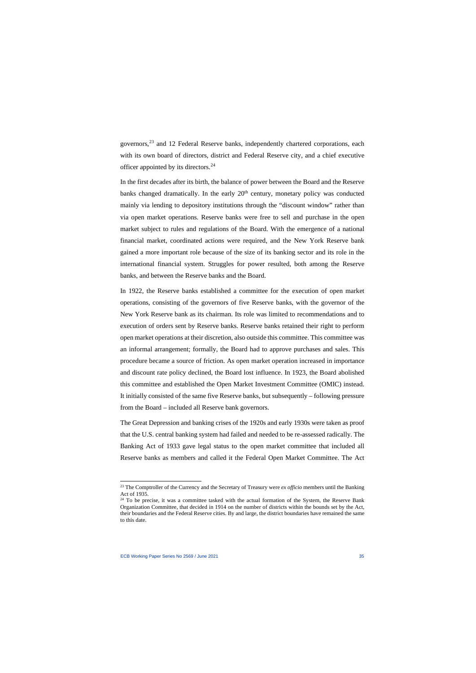governors,<sup>[23](#page-35-0)</sup> and 12 Federal Reserve banks, independently chartered corporations, each with its own board of directors, district and Federal Reserve city, and a chief executive officer appointed by its directors.<sup>24</sup>

In the first decades after its birth, the balance of power between the Board and the Reserve banks changed dramatically. In the early  $20<sup>th</sup>$  century, monetary policy was conducted mainly via lending to depository institutions through the "discount window" rather than via open market operations. Reserve banks were free to sell and purchase in the open market subject to rules and regulations of the Board. With the emergence of a national financial market, coordinated actions were required, and the New York Reserve bank gained a more important role because of the size of its banking sector and its role in the international financial system. Struggles for power resulted, both among the Reserve banks, and between the Reserve banks and the Board.

In 1922, the Reserve banks established a committee for the execution of open market operations, consisting of the governors of five Reserve banks, with the governor of the New York Reserve bank as its chairman. Its role was limited to recommendations and to execution of orders sent by Reserve banks. Reserve banks retained their right to perform open market operations at their discretion, also outside this committee. This committee was an informal arrangement; formally, the Board had to approve purchases and sales. This procedure became a source of friction. As open market operation increased in importance and discount rate policy declined, the Board lost influence. In 1923, the Board abolished this committee and established the Open Market Investment Committee (OMIC) instead. It initially consisted of the same five Reserve banks, but subsequently – following pressure from the Board – included all Reserve bank governors.

The Great Depression and banking crises of the 1920s and early 1930s were taken as proof that the U.S. central banking system had failed and needed to be re-assessed radically. The Banking Act of 1933 gave legal status to the open market committee that included all Reserve banks as members and called it the Federal Open Market Committee. The Act

<sup>23</sup> The Comptroller of the Currency and the Secretary of Treasury were *ex officio* members until the Banking Act of 1935.

<span id="page-35-1"></span><span id="page-35-0"></span><sup>&</sup>lt;sup>24</sup> To be precise, it was a committee tasked with the actual formation of the System, the Reserve Bank Organization Committee, that decided in 1914 on the number of districts within the bounds set by the Act, their boundaries and the Federal Reserve cities. By and large, the district boundaries have remained the same to this date.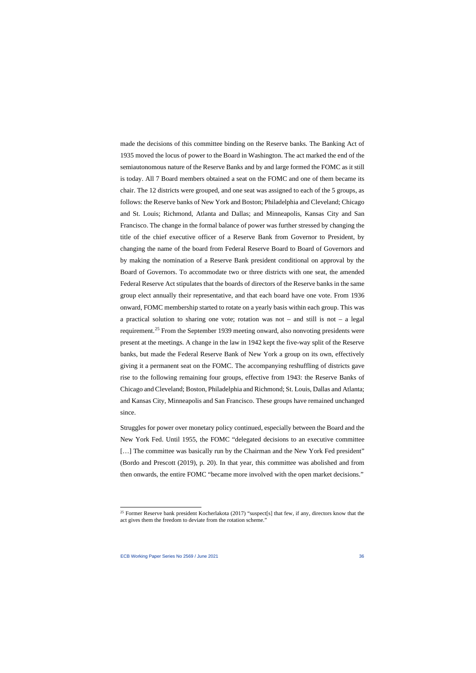made the decisions of this committee binding on the Reserve banks. The Banking Act of 1935 moved the locus of power to the Board in Washington. The act marked the end of the semiautonomous nature of the Reserve Banks and by and large formed the FOMC as it still is today. All 7 Board members obtained a seat on the FOMC and one of them became its chair. The 12 districts were grouped, and one seat was assigned to each of the 5 groups, as follows: the Reserve banks of New York and Boston; Philadelphia and Cleveland; Chicago and St. Louis; Richmond, Atlanta and Dallas; and Minneapolis, Kansas City and San Francisco. The change in the formal balance of power was further stressed by changing the title of the chief executive officer of a Reserve Bank from Governor to President, by changing the name of the board from Federal Reserve Board to Board of Governors and by making the nomination of a Reserve Bank president conditional on approval by the Board of Governors. To accommodate two or three districts with one seat, the amended Federal Reserve Act stipulates that the boards of directors of the Reserve banks in the same group elect annually their representative, and that each board have one vote. From 1936 onward, FOMC membership started to rotate on a yearly basis within each group. This was a practical solution to sharing one vote; rotation was not – and still is not – a legal requirement.<sup>[25](#page-36-0)</sup> From the September 1939 meeting onward, also nonvoting presidents were present at the meetings. A change in the law in 1942 kept the five-way split of the Reserve banks, but made the Federal Reserve Bank of New York a group on its own, effectively giving it a permanent seat on the FOMC. The accompanying reshuffling of districts gave rise to the following remaining four groups, effective from 1943: the Reserve Banks of Chicago and Cleveland; Boston, Philadelphia and Richmond; St. Louis, Dallas and Atlanta; and Kansas City, Minneapolis and San Francisco. These groups have remained unchanged since.

Struggles for power over monetary policy continued, especially between the Board and the New York Fed. Until 1955, the FOMC "delegated decisions to an executive committee [...] The committee was basically run by the Chairman and the New York Fed president" (Bordo and Prescott (2019), p. 20). In that year, this committee was abolished and from then onwards, the entire FOMC "became more involved with the open market decisions."

<span id="page-36-0"></span><sup>&</sup>lt;sup>25</sup> Former Reserve bank president Kocherlakota (2017) "suspect[s] that few, if any, directors know that the act gives them the freedom to deviate from the rotation scheme."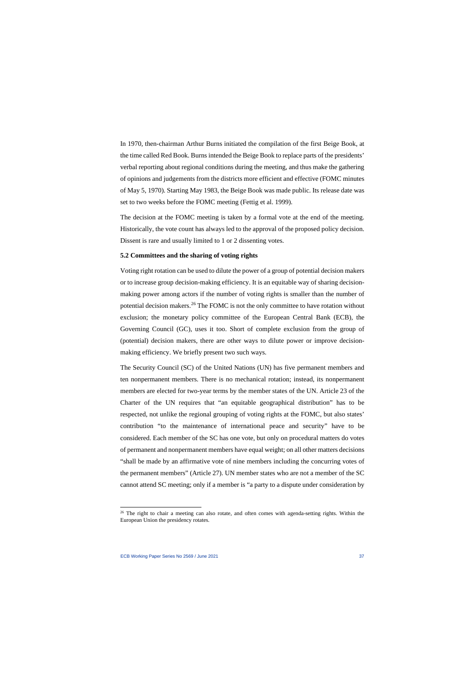In 1970, then-chairman Arthur Burns initiated the compilation of the first Beige Book, at the time called Red Book. Burns intended the Beige Book to replace parts of the presidents' verbal reporting about regional conditions during the meeting, and thus make the gathering of opinions and judgements from the districts more efficient and effective (FOMC minutes of May 5, 1970). Starting May 1983, the Beige Book was made public. Its release date was set to two weeks before the FOMC meeting (Fettig et al. 1999).

The decision at the FOMC meeting is taken by a formal vote at the end of the meeting. Historically, the vote count has always led to the approval of the proposed policy decision. Dissent is rare and usually limited to 1 or 2 dissenting votes.

#### **5.2 Committees and the sharing of voting rights**

Voting right rotation can be used to dilute the power of a group of potential decision makers or to increase group decision-making efficiency. It is an equitable way of sharing decisionmaking power among actors if the number of voting rights is smaller than the number of potential decision makers.<sup>[26](#page-37-0)</sup> The FOMC is not the only committee to have rotation without exclusion; the monetary policy committee of the European Central Bank (ECB), the Governing Council (GC), uses it too. Short of complete exclusion from the group of (potential) decision makers, there are other ways to dilute power or improve decisionmaking efficiency. We briefly present two such ways.

The Security Council (SC) of the United Nations (UN) has five permanent members and ten nonpermanent members. There is no mechanical rotation; instead, its nonpermanent members are elected for two-year terms by the member states of the UN. Article 23 of the Charter of the UN requires that "an equitable geographical distribution" has to be respected, not unlike the regional grouping of voting rights at the FOMC, but also states' contribution "to the maintenance of international peace and security" have to be considered. Each member of the SC has one vote, but only on procedural matters do votes of permanent and nonpermanent members have equal weight; on all other matters decisions "shall be made by an affirmative vote of nine members including the concurring votes of the permanent members" (Article 27). UN member states who are not a member of the SC cannot attend SC meeting; only if a member is "a party to a dispute under consideration by

<span id="page-37-0"></span><sup>&</sup>lt;sup>26</sup> The right to chair a meeting can also rotate, and often comes with agenda-setting rights. Within the European Union the presidency rotates.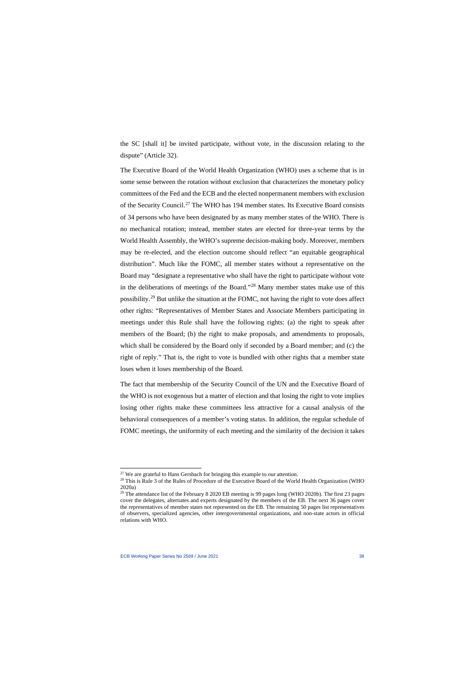the SC [shall it] be invited participate, without vote, in the discussion relating to the dispute" (Article 32).

The Executive Board of the World Health Organization (WHO) uses a scheme that is in some sense between the rotation without exclusion that characterizes the monetary policy committees of the Fed and the ECB and the elected nonpermanent members with exclusion of the Security Council.<sup>[27](#page-38-0)</sup> The WHO has 194 member states. Its Executive Board consists of 34 persons who have been designated by as many member states of the WHO. There is no mechanical rotation; instead, member states are elected for three-year terms by the World Health Assembly, the WHO's supreme decision-making body. Moreover, members may be re-elected, and the election outcome should reflect "an equitable geographical distribution". Much like the FOMC, all member states without a representative on the Board may "designate a representative who shall have the right to participate without vote in the deliberations of meetings of the Board."[28](#page-38-1) Many member states make use of this possibility.[29](#page-38-2) But unlike the situation at the FOMC, not having the right to vote does affect other rights: "Representatives of Member States and Associate Members participating in meetings under this Rule shall have the following rights: (a) the right to speak after members of the Board; (b) the right to make proposals, and amendments to proposals, which shall be considered by the Board only if seconded by a Board member; and (c) the right of reply." That is, the right to vote is bundled with other rights that a member state loses when it loses membership of the Board.

The fact that membership of the Security Council of the UN and the Executive Board of the WHO is not exogenous but a matter of election and that losing the right to vote implies losing other rights make these committees less attractive for a causal analysis of the behavioral consequences of a member's voting status. In addition, the regular schedule of FOMC meetings, the uniformity of each meeting and the similarity of the decision it takes

 $27$  We are grateful to Hans Gersbach for bringing this example to our attention.

<sup>&</sup>lt;sup>28</sup> This is Rule 3 of the Rules of Procedure of the Executive Board of the World Health Organization (WHO 2020a)

<span id="page-38-2"></span><span id="page-38-1"></span><span id="page-38-0"></span><sup>&</sup>lt;sup>29</sup> The attendance list of the February 8 2020 EB meeting is 99 pages long (WHO 2020b). The first 23 pages cover the delegates, alternates and experts designated by the members of the EB. The next 36 pages cover the representatives of member states not represented on the EB. The remaining 50 pages list representatives of observers, specialized agencies, other intergovernmental organizations, and non-state actors in official relations with WHO.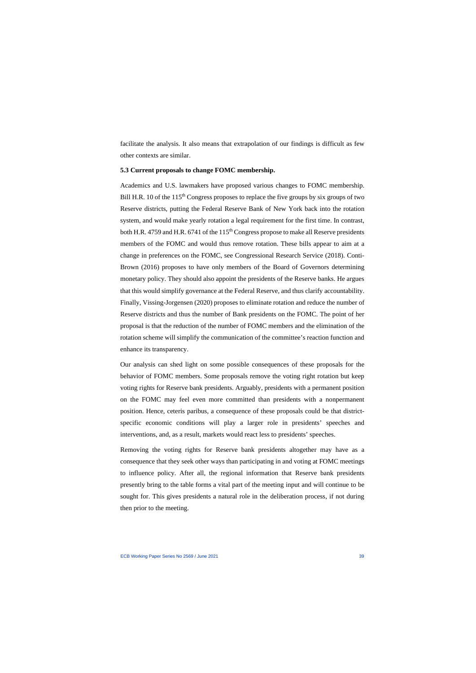facilitate the analysis. It also means that extrapolation of our findings is difficult as few other contexts are similar.

### **5.3 Current proposals to change FOMC membership.**

Academics and U.S. lawmakers have proposed various changes to FOMC membership. Bill H.R. 10 of the 115<sup>th</sup> Congress proposes to replace the five groups by six groups of two Reserve districts, putting the Federal Reserve Bank of New York back into the rotation system, and would make yearly rotation a legal requirement for the first time. In contrast, both H.R. 4759 and H.R. 6741 of the 115<sup>th</sup> Congress propose to make all Reserve presidents members of the FOMC and would thus remove rotation. These bills appear to aim at a change in preferences on the FOMC, see Congressional Research Service (2018). Conti-Brown (2016) proposes to have only members of the Board of Governors determining monetary policy. They should also appoint the presidents of the Reserve banks. He argues that this would simplify governance at the Federal Reserve, and thus clarify accountability. Finally, Vissing-Jorgensen (2020) proposes to eliminate rotation and reduce the number of Reserve districts and thus the number of Bank presidents on the FOMC. The point of her proposal is that the reduction of the number of FOMC members and the elimination of the rotation scheme will simplify the communication of the committee's reaction function and enhance its transparency.

Our analysis can shed light on some possible consequences of these proposals for the behavior of FOMC members. Some proposals remove the voting right rotation but keep voting rights for Reserve bank presidents. Arguably, presidents with a permanent position on the FOMC may feel even more committed than presidents with a nonpermanent position. Hence, ceteris paribus, a consequence of these proposals could be that districtspecific economic conditions will play a larger role in presidents' speeches and interventions, and, as a result, markets would react less to presidents' speeches.

Removing the voting rights for Reserve bank presidents altogether may have as a consequence that they seek other ways than participating in and voting at FOMC meetings to influence policy. After all, the regional information that Reserve bank presidents presently bring to the table forms a vital part of the meeting input and will continue to be sought for. This gives presidents a natural role in the deliberation process, if not during then prior to the meeting.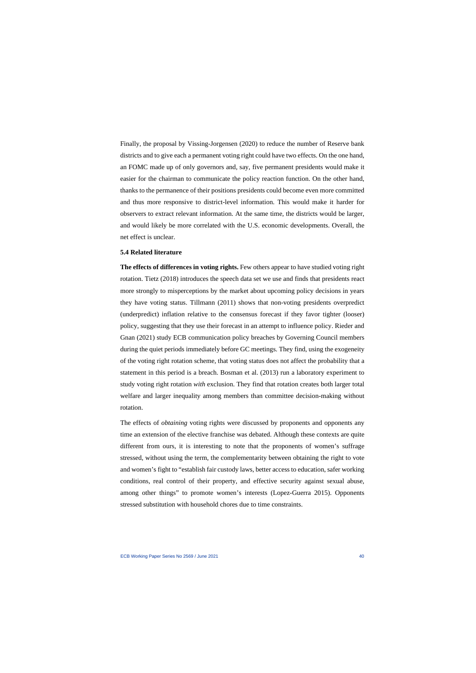Finally, the proposal by Vissing-Jorgensen (2020) to reduce the number of Reserve bank districts and to give each a permanent voting right could have two effects. On the one hand, an FOMC made up of only governors and, say, five permanent presidents would make it easier for the chairman to communicate the policy reaction function. On the other hand, thanks to the permanence of their positions presidents could become even more committed and thus more responsive to district-level information. This would make it harder for observers to extract relevant information. At the same time, the districts would be larger, and would likely be more correlated with the U.S. economic developments. Overall, the net effect is unclear.

#### **5.4 Related literature**

**The effects of differences in voting rights.** Few others appear to have studied voting right rotation. Tietz (2018) introduces the speech data set we use and finds that presidents react more strongly to misperceptions by the market about upcoming policy decisions in years they have voting status. Tillmann (2011) shows that non-voting presidents overpredict (underpredict) inflation relative to the consensus forecast if they favor tighter (looser) policy, suggesting that they use their forecast in an attempt to influence policy. Rieder and Gnan (2021) study ECB communication policy breaches by Governing Council members during the quiet periods immediately before GC meetings. They find, using the exogeneity of the voting right rotation scheme, that voting status does not affect the probability that a statement in this period is a breach. Bosman et al. (2013) run a laboratory experiment to study voting right rotation *with* exclusion. They find that rotation creates both larger total welfare and larger inequality among members than committee decision-making without rotation.

The effects of *obtaining* voting rights were discussed by proponents and opponents any time an extension of the elective franchise was debated. Although these contexts are quite different from ours, it is interesting to note that the proponents of women's suffrage stressed, without using the term, the complementarity between obtaining the right to vote and women's fight to "establish fair custody laws, better access to education, safer working conditions, real control of their property, and effective security against sexual abuse, among other things" to promote women's interests (Lopez-Guerra 2015). Opponents stressed substitution with household chores due to time constraints.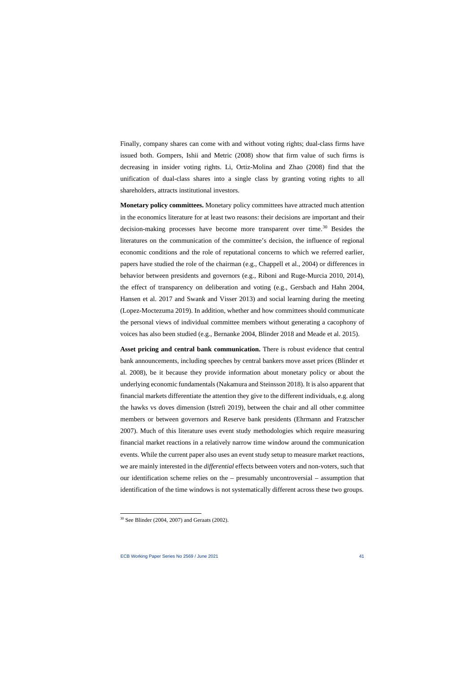Finally, company shares can come with and without voting rights; dual-class firms have issued both. Gompers, Ishii and Metric (2008) show that firm value of such firms is decreasing in insider voting rights. Li, Ortiz-Molina and Zhao (2008) find that the unification of dual-class shares into a single class by granting voting rights to all shareholders, attracts institutional investors.

**Monetary policy committees.** Monetary policy committees have attracted much attention in the economics literature for at least two reasons: their decisions are important and their decision-making processes have become more transparent over time.<sup>[30](#page-41-0)</sup> Besides the literatures on the communication of the committee's decision, the influence of regional economic conditions and the role of reputational concerns to which we referred earlier, papers have studied the role of the chairman (e.g., Chappell et al., 2004) or differences in behavior between presidents and governors (e.g., Riboni and Ruge-Murcia 2010, 2014), the effect of transparency on deliberation and voting (e.g., Gersbach and Hahn 2004, Hansen et al. 2017 and Swank and Visser 2013) and social learning during the meeting (Lopez-Moctezuma 2019). In addition, whether and how committees should communicate the personal views of individual committee members without generating a cacophony of voices has also been studied (e.g., Bernanke 2004, Blinder 2018 and Meade et al. 2015).

**Asset pricing and central bank communication.** There is robust evidence that central bank announcements, including speeches by central bankers move asset prices (Blinder et al. 2008), be it because they provide information about monetary policy or about the underlying economic fundamentals (Nakamura and Steinsson 2018). It is also apparent that financial markets differentiate the attention they give to the different individuals, e.g. along the hawks vs doves dimension (Istrefi 2019), between the chair and all other committee members or between governors and Reserve bank presidents (Ehrmann and Fratzscher 2007). Much of this literature uses event study methodologies which require measuring financial market reactions in a relatively narrow time window around the communication events. While the current paper also uses an event study setup to measure market reactions, we are mainly interested in the *differential* effects between voters and non-voters, such that our identification scheme relies on the – presumably uncontroversial – assumption that identification of the time windows is not systematically different across these two groups.

<span id="page-41-0"></span><sup>30</sup> See Blinder (2004, 2007) and Geraats (2002).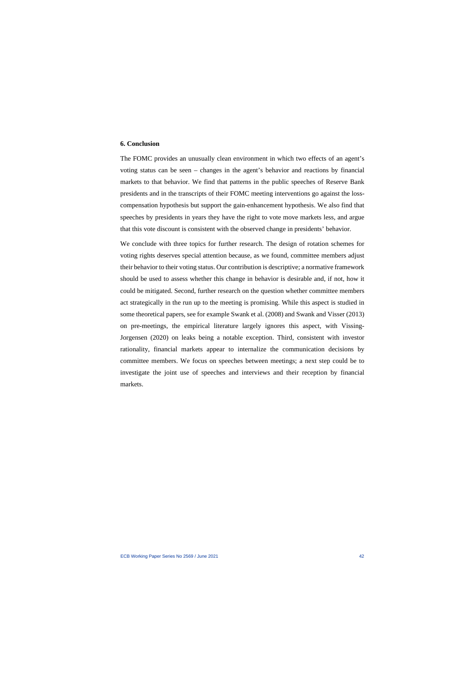#### **6. Conclusion**

The FOMC provides an unusually clean environment in which two effects of an agent's voting status can be seen – changes in the agent's behavior and reactions by financial markets to that behavior. We find that patterns in the public speeches of Reserve Bank presidents and in the transcripts of their FOMC meeting interventions go against the losscompensation hypothesis but support the gain-enhancement hypothesis. We also find that speeches by presidents in years they have the right to vote move markets less, and argue that this vote discount is consistent with the observed change in presidents' behavior.

We conclude with three topics for further research. The design of rotation schemes for voting rights deserves special attention because, as we found, committee members adjust their behavior to their voting status. Our contribution is descriptive; a normative framework should be used to assess whether this change in behavior is desirable and, if not, how it could be mitigated. Second, further research on the question whether committee members act strategically in the run up to the meeting is promising. While this aspect is studied in some theoretical papers, see for example Swank et al. (2008) and Swank and Visser (2013) on pre-meetings, the empirical literature largely ignores this aspect, with Vissing-Jorgensen (2020) on leaks being a notable exception. Third, consistent with investor rationality, financial markets appear to internalize the communication decisions by committee members. We focus on speeches between meetings; a next step could be to investigate the joint use of speeches and interviews and their reception by financial markets.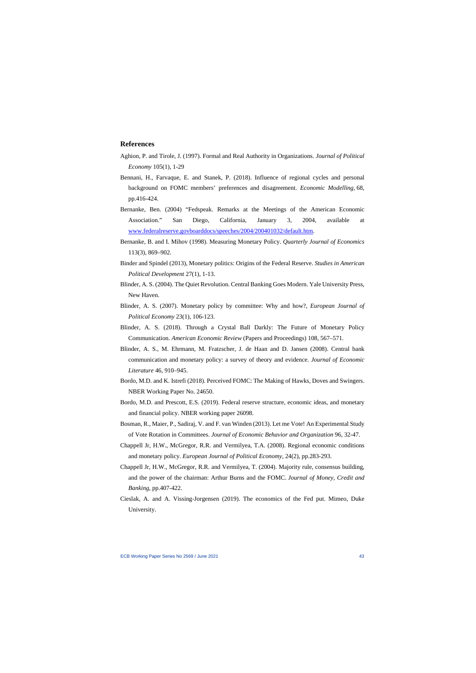#### **References**

- Aghion, P. and Tirole, J. (1997). Formal and Real Authority in Organizations. *Journal of Political Economy* 105(1), 1-29
- Bennani, H., Farvaque, E. and Stanek, P. (2018). Influence of regional cycles and personal background on FOMC members' preferences and disagreement. *Economic Modelling*, 68, pp.416-424.
- Bernanke, Ben. (2004) "Fedspeak. Remarks at the Meetings of the American Economic Association." San Diego, California, January 3, 2004, available at [www.federalreserve.govboarddocs/speeches/2004/200401032/default.htm.](http://www.federalreserve.govboarddocs/speeches/2004/200401032/default.htm)
- Bernanke, B. and I. Mihov (1998). Measuring Monetary Policy. *Quarterly Journal of Economics* 113(3), 869–902.
- Binder and Spindel (2013), Monetary politics: Origins of the Federal Reserve. *Studies in American Political Development* 27(1), 1-13.
- Blinder, A. S. (2004). The Quiet Revolution. Central Banking Goes Modern. Yale University Press, New Haven.
- Blinder, A. S. (2007). Monetary policy by committee: Why and how?, *European Journal of Political Economy* 23(1), 106-123.
- Blinder, A. S. (2018). Through a Crystal Ball Darkly: The Future of Monetary Policy Communication. *American Economic Review* (Papers and Proceedings) 108, 567–571.
- Blinder, A. S., M. Ehrmann, M. Fratzscher, J. de Haan and D. Jansen (2008). Central bank communication and monetary policy: a survey of theory and evidence. *Journal of Economic Literature* 46, 910–945.
- Bordo, M.D. and K. Istrefi (2018). Perceived FOMC: The Making of Hawks, Doves and Swingers. NBER Working Paper No. 24650.
- Bordo, M.D. and Prescott, E.S. (2019). Federal reserve structure, economic ideas, and monetary and financial policy. NBER working paper 26098.
- Bosman, R., Maier, P., Sadiraj, V. and F. van Winden (2013). Let me Vote! An Experimental Study of Vote Rotation in Committees. *Journal of Economic Behavior and Organization* 96, 32-47.
- Chappell Jr, H.W., McGregor, R.R. and Vermilyea, T.A. (2008). Regional economic conditions and monetary policy. *European Journal of Political Economy*, 24(2), pp.283-293.
- Chappell Jr, H.W., McGregor, R.R. and Vermilyea, T. (2004). Majority rule, consensus building, and the power of the chairman: Arthur Burns and the FOMC. *Journal of Money, Credit and Banking*, pp.407-422.
- Cieslak, A. and A. Vissing-Jorgensen (2019). The economics of the Fed put. Mimeo, Duke University.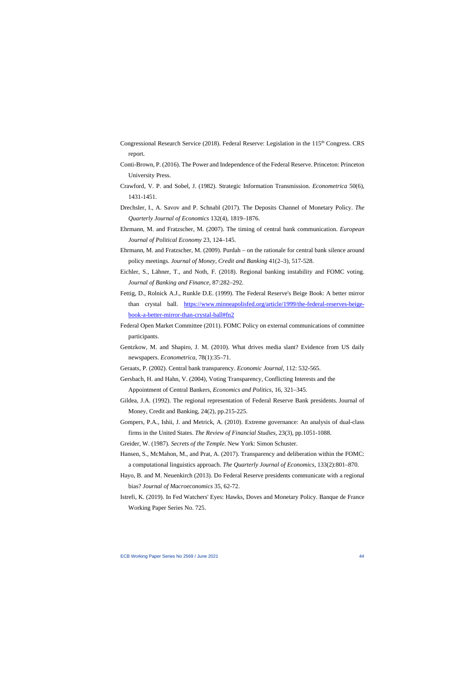- Congressional Research Service (2018). Federal Reserve: Legislation in the 115<sup>th</sup> Congress. CRS report.
- Conti-Brown, P. (2016). The Power and Independence of the Federal Reserve. Princeton: Princeton University Press.
- Crawford, V. P. and Sobel, J. (1982). Strategic Information Transmission. *Econometrica* 50(6), 1431-1451.
- Drechsler, I., A. Savov and P. Schnabl (2017). The Deposits Channel of Monetary Policy. *The Quarterly Journal of Economics* 132(4), 1819–1876.
- Ehrmann, M. and Fratzscher, M. (2007). The timing of central bank communication. *European Journal of Political Economy* 23, 124–145.
- Ehrmann, M. and Fratzscher, M. (2009). Purdah on the rationale for central bank silence around policy meetings. *Journal of Money, Credit and Banking* 41(2–3), 517-528.
- Eichler, S., Lähner, T., and Noth, F. (2018). Regional banking instability and FOMC voting. *Journal of Banking and Finance*, 87:282–292.
- Fettig, D., Rolnick A.J., Runkle D.E. (1999). The Federal Reserve's Beige Book: A better mirror than crystal ball. [https://www.minneapolisfed.org/article/1999/the-federal-reserves-beige](https://www.minneapolisfed.org/article/1999/the-federal-reserves-beige-book-a-better-mirror-than-crystal-ball#fn2)[book-a-better-mirror-than-crystal-ball#fn2](https://www.minneapolisfed.org/article/1999/the-federal-reserves-beige-book-a-better-mirror-than-crystal-ball#fn2)
- Federal Open Market Committee (2011). FOMC Policy on external communications of committee participants.
- Gentzkow, M. and Shapiro, J. M. (2010). What drives media slant? Evidence from US daily newspapers. *Econometrica*, 78(1):35–71.
- Geraats, P. (2002). Central bank transparency. *Economic Journal*, 112: 532-565.
- Gersbach, H. and Hahn, V. (2004), Voting Transparency, Conflicting Interests and the Appointment of Central Bankers, *Economics and Politics*, 16, 321–345.
- Gildea, J.A. (1992). The regional representation of Federal Reserve Bank presidents. Journal of Money, Credit and Banking, 24(2), pp.215-225.
- Gompers, P.A., Ishii, J. and Metrick, A. (2010). Extreme governance: An analysis of dual-class firms in the United States. *The Review of Financial Studies*, 23(3), pp.1051-1088.
- Greider, W. (1987). *Secrets of the Temple*. New York: Simon Schuster.
- Hansen, S., McMahon, M., and Prat, A. (2017). Transparency and deliberation within the FOMC: a computational linguistics approach. *The Quarterly Journal of Economics*, 133(2):801–870.
- Hayo, B. and M. Neuenkirch (2013). Do Federal Reserve presidents communicate with a regional bias? *Journal of Macroeconomics* 35, 62-72.
- Istrefi, K. (2019). In Fed Watchers' Eyes: Hawks, Doves and Monetary Policy. Banque de France Working Paper Series No. 725.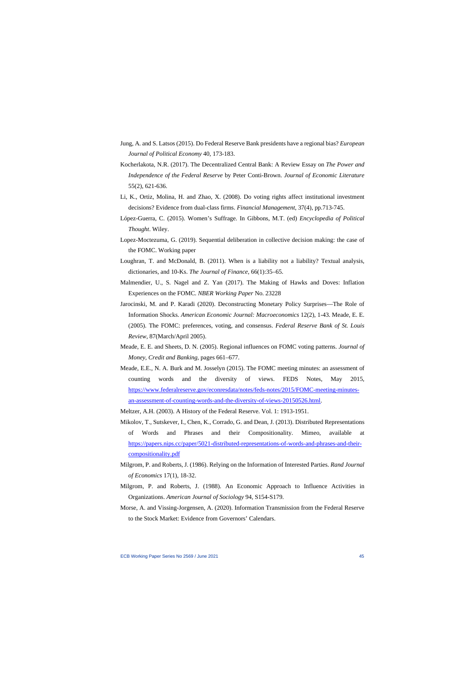- Jung, A. and S. Latsos (2015). Do Federal Reserve Bank presidents have a regional bias? *European Journal of Political Economy* 40, 173-183.
- Kocherlakota, N.R. (2017). The Decentralized Central Bank: A Review Essay on *The Power and Independence of the Federal Reserve* by Peter Conti-Brown. *Journal of Economic Literature* 55(2), 621-636.
- Li, K., Ortiz, Molina, H. and Zhao, X. (2008). Do voting rights affect institutional investment decisions? Evidence from dual-class firms. *Financial Management*, 37(4), pp.713-745.
- López-Guerra, C. (2015). Women's Suffrage. In Gibbons, M.T. (ed) *Encyclopedia of Political Thought*. Wiley.
- Lopez-Moctezuma, G. (2019). Sequential deliberation in collective decision making: the case of the FOMC. Working paper
- Loughran, T. and McDonald, B. (2011). When is a liability not a liability? Textual analysis, dictionaries, and 10-Ks. *The Journal of Finance*, 66(1):35–65.
- Malmendier, U., S. Nagel and Z. Yan (2017). The Making of Hawks and Doves: Inflation Experiences on the FOMC. *NBER Working Paper* No. 23228
- Jarocinski, M. and P. Karadi (2020). Deconstructing Monetary Policy Surprises—The Role of Information Shocks. *American Economic Journal: Macroeconomics* 12(2), 1-43. Meade, E. E. (2005). The FOMC: preferences, voting, and consensus. *Federal Reserve Bank of St. Louis Review*, 87(March/April 2005).
- Meade, E. E. and Sheets, D. N. (2005). Regional influences on FOMC voting patterns. *Journal of Money, Credit and Banking*, pages 661–677.
- Meade, E.E., N. A. Burk and M. Josselyn (2015). The FOMC meeting minutes: an assessment of counting words and the diversity of views. FEDS Notes, May 2015, [https://www.federalreserve.gov/econresdata/notes/feds-notes/2015/FOMC-meeting-minutes](https://www.federalreserve.gov/econresdata/notes/feds-notes/2015/fomc-meeting-minutes-an-assessment-of-counting-words-and-the-diversity-of-views-20150526.html)[an-assessment-of-counting-words-and-the-diversity-of-views-20150526.html.](https://www.federalreserve.gov/econresdata/notes/feds-notes/2015/fomc-meeting-minutes-an-assessment-of-counting-words-and-the-diversity-of-views-20150526.html)
- Meltzer, A.H. (2003). A History of the Federal Reserve. Vol. 1: 1913-1951.
- Mikolov, T., Sutskever, I., Chen, K., Corrado, G. and Dean, J. (2013). Distributed Representations of Words and Phrases and their Compositionality. Mimeo, available at [https://papers.nips.cc/paper/5021-distributed-representations-of-words-and-phrases-and-their](https://papers.nips.cc/paper/5021-distributed-representations-of-words-and-phrases-and-their-compositionality.pdf)[compositionality.pdf](https://papers.nips.cc/paper/5021-distributed-representations-of-words-and-phrases-and-their-compositionality.pdf)
- Milgrom, P. and Roberts, J. (1986). Relying on the Information of Interested Parties. *Rand Journal of Economics* 17(1), 18-32.
- Milgrom, P. and Roberts, J. (1988). An Economic Approach to Influence Activities in Organizations. *American Journal of Sociology* 94, S154-S179.
- Morse, A. and Vissing-Jorgensen, A. (2020). Information Transmission from the Federal Reserve to the Stock Market: Evidence from Governors' Calendars.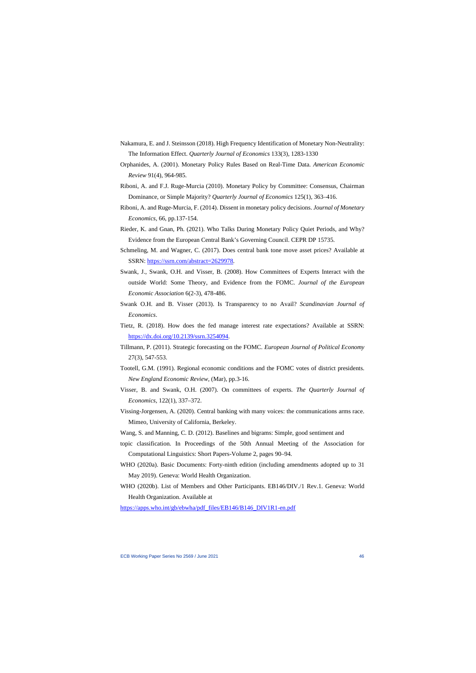- Nakamura, E. and J. Steinsson (2018). High Frequency Identification of Monetary Non-Neutrality: The Information Effect. *Quarterly Journal of Economics* 133(3), 1283-1330
- Orphanides, A. (2001). Monetary Policy Rules Based on Real-Time Data. *American Economic Review* 91(4), 964-985.
- Riboni, A. and F.J. Ruge-Murcia (2010). Monetary Policy by Committee: Consensus, Chairman Dominance, or Simple Majority? *Quarterly Journal of Economics* 125(1), 363–416.
- Riboni, A. and Ruge-Murcia, F. (2014). Dissent in monetary policy decisions. *Journal of Monetary Economics*, 66, pp.137-154.
- Rieder, K. and Gnan, Ph. (2021). Who Talks During Monetary Policy Quiet Periods, and Why? Evidence from the European Central Bank's Governing Council. CEPR DP 15735.
- Schmeling, M. and Wagner, C. (2017). Does central bank tone move asset prices? Available at SSRN: [https://ssrn.com/abstract=2629978.](https://ssrn.com/abstract=2629978)
- Swank, J., Swank, O.H. and Visser, B. (2008). How Committees of Experts Interact with the outside World: Some Theory, and Evidence from the FOMC. *Journal of the European Economic Association* 6(2-3), 478-486.
- Swank O.H. and B. Visser (2013). Is Transparency to no Avail? *Scandinavian Journal of Economics*.
- Tietz, R. (2018). How does the fed manage interest rate expectations? Available at SSRN: [https://dx.doi.org/10.2139/ssrn.3254094.](https://dx.doi.org/10.2139/ssrn.3254094)
- Tillmann, P. (2011). Strategic forecasting on the FOMC. *European Journal of Political Economy* 27(3), 547-553.
- Tootell, G.M. (1991). Regional economic conditions and the FOMC votes of district presidents. *New England Economic Review*, (Mar), pp.3-16.
- Visser, B. and Swank, O.H. (2007). On committees of experts. *The Quarterly Journal of Economics*, 122(1), 337–372.
- Vissing-Jorgensen, A. (2020). Central banking with many voices: the communications arms race. Mimeo, University of California, Berkeley.
- Wang, S. and Manning, C. D. (2012). Baselines and bigrams: Simple, good sentiment and
- topic classification. In Proceedings of the 50th Annual Meeting of the Association for Computational Linguistics: Short Papers-Volume 2, pages 90–94.
- WHO (2020a). Basic Documents: Forty-ninth edition (including amendments adopted up to 31 May 2019). Geneva: World Health Organization.
- WHO (2020b). List of Members and Other Participants. EB146/DIV./1 Rev.1. Geneva: World Health Organization. Available at

[https://apps.who.int/gb/ebwha/pdf\\_files/EB146/B146\\_DIV1R1-en.pdf](https://apps.who.int/gb/ebwha/pdf_files/EB146/B146_DIV1R1-en.pdf)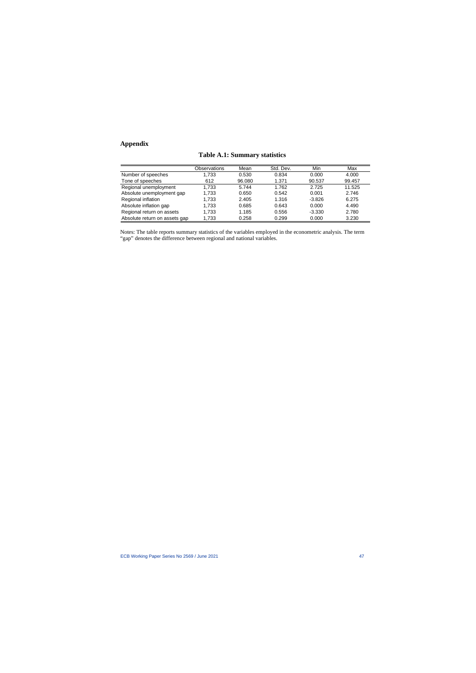## **Appendix**

|  |  | <b>Table A.1: Summary statistics</b> |  |
|--|--|--------------------------------------|--|
|--|--|--------------------------------------|--|

|                               | Observations | Mean   | Std. Dev. | Min      | Max    |
|-------------------------------|--------------|--------|-----------|----------|--------|
| Number of speeches            | 1.733        | 0.530  | 0.834     | 0.000    | 4.000  |
| Tone of speeches              | 612          | 96.080 | 1.371     | 90.537   | 99.457 |
| Regional unemployment         | 1.733        | 5.744  | 1.762     | 2.725    | 11.525 |
| Absolute unemployment gap     | 1.733        | 0.650  | 0.542     | 0.001    | 2.746  |
| Regional inflation            | 1.733        | 2.405  | 1.316     | $-3.826$ | 6.275  |
| Absolute inflation gap        | 1.733        | 0.685  | 0.643     | 0.000    | 4.490  |
| Regional return on assets     | 1.733        | 1.185  | 0.556     | $-3.330$ | 2.780  |
| Absolute return on assets gap | 1.733        | 0.258  | 0.299     | 0.000    | 3.230  |

Notes: The table reports summary statistics of the variables employed in the econometric analysis. The term "gap" denotes the difference between regional and national variables.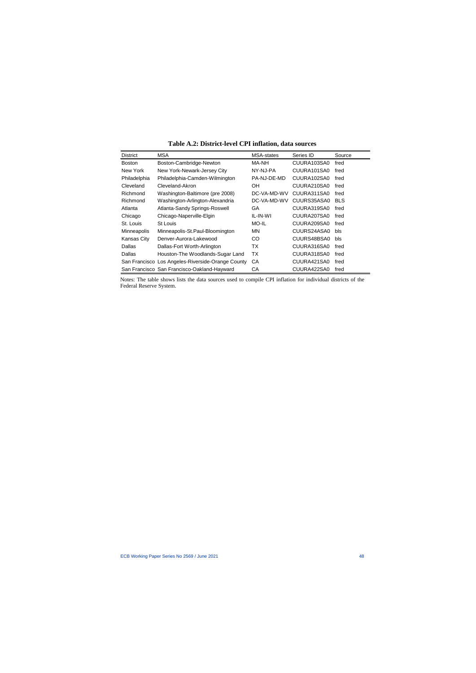| <b>District</b> | <b>MSA</b>                                        | MSA-states  | Series ID   | Source     |
|-----------------|---------------------------------------------------|-------------|-------------|------------|
| <b>Boston</b>   | Boston-Cambridge-Newton                           | MA-NH       | CUURA103SA0 | fred       |
| New York        | New York-Newark-Jersey City                       | NY-NJ-PA    | CUURA101SA0 | fred       |
| Philadelphia    | Philadelphia-Camden-Wilmington                    | PA-NJ-DE-MD | CUURA102SA0 | fred       |
| Cleveland       | Cleveland-Akron                                   | OН          | CUURA210SA0 | fred       |
| Richmond        | Washington-Baltimore (pre 2008)                   | DC-VA-MD-WV | CUURA311SA0 | fred       |
| Richmond        | Washington-Arlington-Alexandria                   | DC-VA-MD-WV | CUURS35ASA0 | <b>BLS</b> |
| Atlanta         | Atlanta-Sandy Springs-Roswell                     | GA.         | CUURA319SA0 | fred       |
| Chicago         | Chicago-Naperville-Elgin                          | IL-IN-WI    | CUURA207SA0 | fred       |
| St. Louis       | St Louis                                          | MO-IL       | CUURA209SA0 | fred       |
| Minneapolis     | Minneapolis-St.Paul-Bloomington                   | MN.         | CUURS24ASA0 | bls        |
| Kansas City     | Denver-Aurora-Lakewood                            | CO          | CUURS48BSA0 | bls        |
| <b>Dallas</b>   | Dallas-Fort Worth-Arlington                       | ТX          | CUURA316SA0 | fred       |
| Dallas          | Houston-The Woodlands-Sugar Land                  | ТX          | CUURA318SA0 | fred       |
|                 | San Francisco Los Angeles-Riverside-Orange County | CA          | CUURA421SA0 | fred       |
|                 | San Francisco San Francisco-Oakland-Hayward       | СA          | CUURA422SA0 | fred       |

**Table A.2: District-level CPI inflation, data sources**

Notes: The table shows lists the data sources used to compile CPI inflation for individual districts of the Federal Reserve System.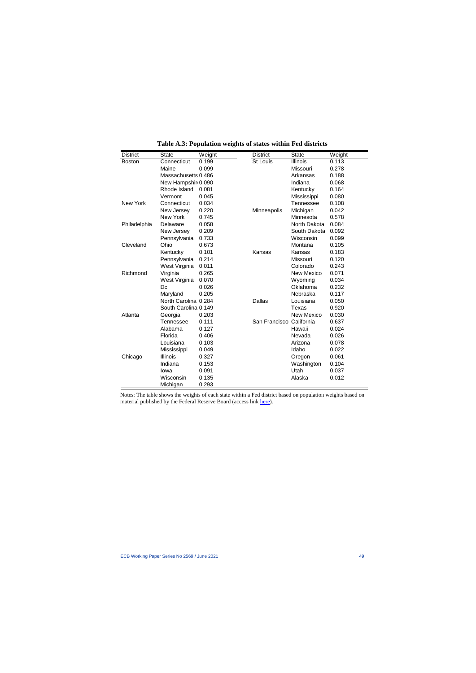| <b>District</b> | <b>State</b>         | Weight | <b>District</b>          | <b>State</b>      | Weight |
|-----------------|----------------------|--------|--------------------------|-------------------|--------|
| <b>Boston</b>   | Connecticut          | 0.199  | <b>St Louis</b>          | Illinois          | 0.113  |
|                 | Maine                | 0.099  |                          | Missouri          | 0.278  |
|                 | Massachusetts 0.486  |        |                          | Arkansas          | 0.188  |
|                 | New Hampshir 0.090   |        |                          | Indiana           | 0.068  |
|                 | Rhode Island         | 0.081  |                          | Kentucky          | 0.164  |
|                 | Vermont              | 0.045  |                          | Mississippi       | 0.080  |
| <b>New York</b> | Connecticut          | 0.034  |                          | <b>Tennessee</b>  | 0.108  |
|                 | New Jersey           | 0.220  | Minneapolis              | Michigan          | 0.042  |
|                 | New York             | 0.745  |                          | Minnesota         | 0.578  |
| Philadelphia    | Delaware             | 0.058  |                          | North Dakota      | 0.084  |
|                 | New Jersey           | 0.209  |                          | South Dakota      | 0.092  |
|                 | Pennsylvania         | 0.733  |                          | Wisconsin         | 0.099  |
| Cleveland       | Ohio                 | 0.673  |                          | Montana           | 0.105  |
|                 | Kentucky             | 0.101  | Kansas                   | Kansas            | 0.183  |
|                 | Pennsylvania         | 0.214  |                          | <b>Missouri</b>   | 0.120  |
|                 | West Virginia        | 0.011  |                          | Colorado          | 0.243  |
| Richmond        | Virginia             | 0.265  |                          | <b>New Mexico</b> | 0.071  |
|                 | West Virginia        | 0.070  |                          | Wyoming           | 0.034  |
|                 | Dc                   | 0.026  |                          | Oklahoma          | 0.232  |
|                 | Maryland             | 0.205  |                          | Nebraska          | 0.117  |
|                 | North Carolina 0.284 |        | <b>Dallas</b>            | Louisiana         | 0.050  |
|                 | South Carolina 0.149 |        |                          | Texas             | 0.920  |
| Atlanta         | Georgia              | 0.203  |                          | <b>New Mexico</b> | 0.030  |
|                 | Tennessee            | 0.111  | San Francisco California |                   | 0.637  |
|                 | Alabama              | 0.127  |                          | Hawaii            | 0.024  |
|                 | Florida              | 0.406  |                          | Nevada            | 0.026  |
|                 | Louisiana            | 0.103  |                          | Arizona           | 0.078  |
|                 | Mississippi          | 0.049  |                          | Idaho             | 0.022  |
| Chicago         | Illinois             | 0.327  |                          | Oregon            | 0.061  |
|                 | Indiana              | 0.153  |                          | Washington        | 0.104  |
|                 | lowa                 | 0.091  |                          | Utah              | 0.037  |
|                 | Wisconsin            | 0.135  |                          | Alaska            | 0.012  |
|                 | Michigan             | 0.293  |                          |                   |        |

**Table A.3: Population weights of states within Fed districts**

Notes: The table shows the weights of each state within a Fed district based on population weights based on material published by the Federal Reserve Board (access link [here\)](https://fraser.stlouisfed.org/files/docs/historical/federal%20reserve%20history/frdistricts/frb_districts_199603.pdf).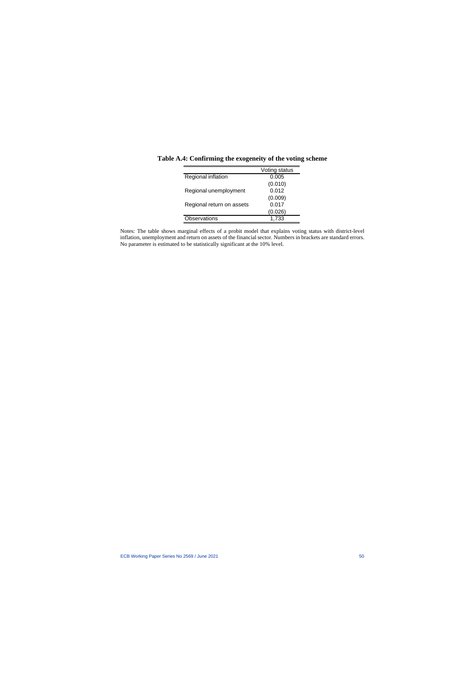|                           | Voting status |
|---------------------------|---------------|
| Regional inflation        | 0.005         |
|                           | (0.010)       |
| Regional unemployment     | 0.012         |
|                           | (0.009)       |
| Regional return on assets | 0.017         |
|                           | (0.026)       |
| Observations              | 1.733         |

**Table A.4: Confirming the exogeneity of the voting scheme**

Notes: The table shows marginal effects of a probit model that explains voting status with district-level inflation, unemployment and return on assets of the financial sector. Numbers in brackets are standard errors. No parameter is estimated to be statistically significant at the 10% level.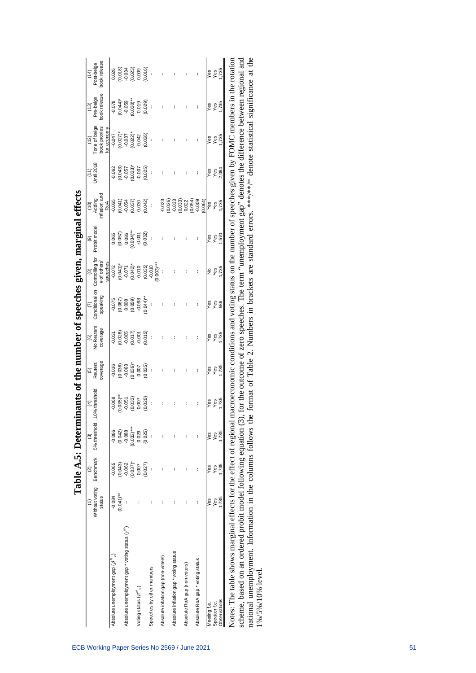|                                                                      |                          |                            | Table A.5: Determinants of the number of speeches given, marginal effects |                              |                                       |                                          |                                                             |                                        |                                         |                                                                                                           |                                            |                                               |                                   |                                                                       |
|----------------------------------------------------------------------|--------------------------|----------------------------|---------------------------------------------------------------------------|------------------------------|---------------------------------------|------------------------------------------|-------------------------------------------------------------|----------------------------------------|-----------------------------------------|-----------------------------------------------------------------------------------------------------------|--------------------------------------------|-----------------------------------------------|-----------------------------------|-----------------------------------------------------------------------|
|                                                                      | Without voting<br>status | Benchmark<br>$\widehat{a}$ | 5% threshold 10<br>$\binom{3}{2}$                                         | % threshold<br>$\widehat{f}$ | coverage<br>Reuters<br>$\overline{6}$ | No Reuters<br>coverage<br>$\circledcirc$ | Conditional on<br>speaking                                  | Controlling for<br># of others<br>ම    | Probit model<br>(6)                     | nflation and<br>Adding<br>$\frac{1}{2}$                                                                   | Jntil 2018                                 | Tone of beige<br>book proxies<br>(12)         | book release<br>Pre-beige<br>(13) | book release<br>Post-beige<br>$\overline{4}$                          |
| Absolute unemployment gap $(\beta'')$                                | $-0.084$                 | $-0.065$                   | $-0.066$                                                                  | $-0.068$                     | 0.036                                 | 0.031                                    | $-0.075$                                                    | speeches<br>$-0.072$                   | 0.065                                   | $-0.065$<br>RoA                                                                                           | 0.062                                      | for economy<br>$-0.047$                       | $-0.078$                          | 0.026                                                                 |
|                                                                      | $(0.041)$ **             | (0.043)                    | (0.042)                                                                   | $(0.035)$ **                 |                                       | (0.028)                                  |                                                             |                                        |                                         |                                                                                                           |                                            |                                               | $(0.044)^*$                       |                                                                       |
| Absolute unemployment gap * voting status $(y'')$                    |                          | $(0.037)^*$<br>$-0.062$    | $(0.032)***$<br>$-0.088$                                                  | (0.033)<br>$-0.051$          | $(0.036)$<br>$-0.063$<br>$(0.036)^*$  | $-0.005$<br>$(0.017)$                    | $(0.067)$<br>$0.008$<br>$(0.059)$<br>$-0.098$               | $(0.041)^*$<br>$-0.071$<br>$(0.042)^*$ | $(0.057)$<br>0.086<br>0.034)**<br>0.031 | $(0.041)$<br>$-0.054$<br>$(0.037)$                                                                        | $(0.043)$<br>$7.057$<br>$7.003$<br>$7.007$ | $(0.027)^*$<br>$-0.037$<br>$(0.022)^*$        | $-0.059$<br>(0.030)**             | $(0.018)$<br>$-0.034$<br>$-0.023$<br>$-0.009$<br>$-0.016$<br>$-0.016$ |
| Voting status $(\beta^N{}_v)$                                        |                          | 0.007                      | 0.029                                                                     | 0.007                        |                                       | 0.001                                    |                                                             | 0.010                                  |                                         | 0.030                                                                                                     |                                            | 0.042                                         |                                   |                                                                       |
|                                                                      |                          | (0.027)                    | (0.025)                                                                   | (0.020)                      | $0.007$<br>$(0.025)$                  | (0.015)                                  | $(0.044)$ **                                                |                                        | (0.032)                                 | (0.042)                                                                                                   | (0.025)                                    | (0.026)                                       | $0.019$<br>$(0.029)$              |                                                                       |
| Speeches by other members                                            |                          |                            |                                                                           | t                            |                                       | $\overline{\phantom{a}}$                 |                                                             | $(0.035)$<br>$-0.018$<br>$(0.003)***$  |                                         | ł                                                                                                         |                                            | t                                             |                                   | J,                                                                    |
| Absolute inflation gap (non-voters)                                  |                          |                            |                                                                           |                              |                                       |                                          |                                                             |                                        |                                         | $-0.023$                                                                                                  |                                            |                                               |                                   |                                                                       |
| Absolute inflation gap * voting status                               |                          |                            |                                                                           |                              |                                       |                                          |                                                             |                                        |                                         | (0.026)                                                                                                   |                                            |                                               |                                   |                                                                       |
| Absolute RoA gap (non-voters)                                        |                          |                            |                                                                           |                              |                                       |                                          |                                                             |                                        |                                         | $(0.033)$<br>$0.022$<br>$0.054)$<br>$0.009$                                                               |                                            |                                               |                                   |                                                                       |
| Absolute RoA gap * voting status                                     |                          | Ì                          | ł                                                                         | ł                            | ł                                     | ŧ                                        |                                                             |                                        |                                         | (0.064)                                                                                                   | ł                                          | ł                                             | ł                                 |                                                                       |
| Meeting f.e.                                                         | Yes                      | Yes                        | Yes                                                                       | Yes                          | Yes                                   | Yes                                      | Yes                                                         | ş                                      | Yes                                     | Yes                                                                                                       | Yes                                        | Yes                                           | Yes                               | Yes                                                                   |
| Speaker f.e.                                                         | Yes                      | Yes                        | Yes                                                                       | Yes<br>1,735                 | $\frac{\text{Yes}}{\text{I}}$         | Yes                                      | $\frac{8}{586}$                                             | Yes                                    | $rac{68}{150}$                          | Yes<br>1,735                                                                                              | Yes                                        |                                               | Yes                               | $\frac{\text{Yes}}{\text{735}}$                                       |
| Observations                                                         | 1,735                    | 1,735                      | 1,735                                                                     |                              |                                       | 1,735                                    |                                                             | 735                                    |                                         |                                                                                                           | 2,084                                      | Yes<br>1,735                                  | 1,735                             |                                                                       |
| Notes: The table shows marginal effects for the effect of regional n |                          |                            |                                                                           |                              |                                       |                                          |                                                             |                                        |                                         | acroeconomic conditions and voting status on the number of speeches given by FOMC members in the rotation |                                            |                                               |                                   |                                                                       |
| scheme, based on an ordered probit model following equation (3),     |                          |                            |                                                                           |                              |                                       |                                          |                                                             |                                        |                                         | for the outcome of zero speeches. The term "unemployment gap" denotes the difference between regional and |                                            |                                               |                                   |                                                                       |
| national unemployment. Information in the columns follows the        |                          |                            |                                                                           |                              |                                       |                                          | format of Table 2. Numbers in brackets are standard errors. |                                        |                                         |                                                                                                           |                                            | ****** denote statistical significance at the |                                   |                                                                       |

1%/5%/10% level.

1%/5%/10% level.

| 0                                                                                              |
|------------------------------------------------------------------------------------------------|
|                                                                                                |
|                                                                                                |
|                                                                                                |
|                                                                                                |
| $\frac{1}{2}$                                                                                  |
|                                                                                                |
|                                                                                                |
| D                                                                                              |
|                                                                                                |
|                                                                                                |
|                                                                                                |
|                                                                                                |
|                                                                                                |
| ı                                                                                              |
|                                                                                                |
| こうしょく                                                                                          |
| I                                                                                              |
|                                                                                                |
|                                                                                                |
|                                                                                                |
|                                                                                                |
|                                                                                                |
|                                                                                                |
|                                                                                                |
| $\ddot{\dot{\phantom{0}}}$<br>֧֧֧֧֧֧֧֧֧֧֧֛֧֧֚֚֚֚֚֚֚֚֚֚֚֚֚֚֚֚֚֚֚֚֚֚֚֚֚֚֚֝֝֓֝֟֓֝֓֝֓֝֓֝֓֝֬֜֝֓֝֬֝֬ |
|                                                                                                |
|                                                                                                |
|                                                                                                |
|                                                                                                |
|                                                                                                |
|                                                                                                |
|                                                                                                |
|                                                                                                |
|                                                                                                |
|                                                                                                |
|                                                                                                |
| ļ                                                                                              |
|                                                                                                |
|                                                                                                |
|                                                                                                |
|                                                                                                |
|                                                                                                |
| ľ<br>I                                                                                         |
|                                                                                                |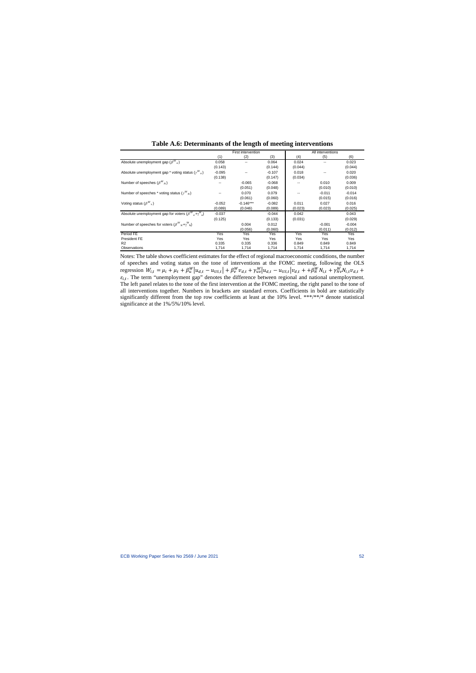|                                                                             |          | First intervention |          |         | All interventions |          |
|-----------------------------------------------------------------------------|----------|--------------------|----------|---------|-------------------|----------|
|                                                                             | (1)      | (2)                | (3)      | (4)     | (5)               | (6)      |
| Absolute unemployment gap $(\beta^{W}_{u})$                                 | 0.058    | --                 | 0.064    | 0.024   | $- -$             | 0.023    |
|                                                                             | (0.143)  |                    | (0.144)  | (0.044) |                   | (0.044)  |
| Absolute unemployment gap * voting status $(\gamma^{W}_{u})$                | $-0.095$ | --                 | $-0.107$ | 0.018   | $- -$             | 0.020    |
|                                                                             | (0.138)  |                    | (0.147)  | (0.034) |                   | (0.036)  |
| Number of speeches $(\beta^{W}_{N})$                                        |          | $-0.065$           | $-0.068$ |         | 0.010             | 0.009    |
|                                                                             |          | (0.051)            | (0.048)  |         | (0.010)           | (0.010)  |
| Number of speeches * voting status $(\gamma^{W}_{N})$                       | --       | 0.070              | 0.079    |         | $-0.011$          | $-0.014$ |
|                                                                             |          | (0.061)            | (0.060)  |         | (0.015)           | (0.016)  |
| Voting status $(\beta^{W}$ <sub>v</sub> )                                   | $-0.052$ | $-0.146***$        | $-0.082$ | 0.011   | 0.027             | 0.016    |
|                                                                             | (0.089)  | (0.046)            | (0.089)  | (0.023) | (0.023)           | (0.025)  |
| Absolute unemployment gap for voters $(\beta^{W}{}_{U} + \gamma^{W}{}_{U})$ | $-0.037$ |                    | $-0.044$ | 0.042   |                   | 0.043    |
|                                                                             | (0.125)  |                    | (0.133)  | (0.031) |                   | (0.029)  |
| Number of speeches for voters $(\beta^{W}{}_{N}+\gamma^{W}{}_{N})$          |          | 0.004              | 0.012    |         | $-0.001$          | $-0.004$ |
|                                                                             |          | (0.056)            | (0.060)  |         | (0.011)           | (0.012)  |
| Period FE                                                                   | Yes      | Yes                | Yes      | Yes     | Yes               | Yes      |
| <b>President FE</b>                                                         | Yes      | Yes                | Yes      | Yes     | Yes               | Yes      |
| R <sub>2</sub>                                                              | 0.335    | 0.335              | 0.336    | 0.849   | 0.849             | 0.849    |
| Observations                                                                | 1,714    | 1,714              | 1,714    | 1,714   | 1,714             | 1,714    |

**Table A.6: Determinants of the length of meeting interventions**

Notes: The table shows coefficient estimates for the effect of regional macroeconomic conditions, the number of speeches and voting status on the tone of interventions at the FOMC meeting, following the OLS regression  $W_{i,t} = \mu_i + \mu_t + \beta_u^W |u_{d,t} - u_{US,t}| + \beta_v^W v_{d,t} + \gamma_{uv}^W |u_{d,t} - u_{US,t}| v_{d,t} + \beta_u^W N_{i,t} + \gamma_{Nv}^W N_{i,t} v_{d,t} +$  $\varepsilon_{i,t}$ . The term "unemployment gap" denotes the difference between regional and national unemployment. The left panel relates to the tone of the first intervention at the FOMC meeting, the right panel to the tone of all interventions together. Numbers in brackets are standard errors. Coefficients in bold are statistically significantly different from the top row coefficients at least at the 10% level. \*\*\*/\*\*/\* denote statistical significance at the 1%/5%/10% level.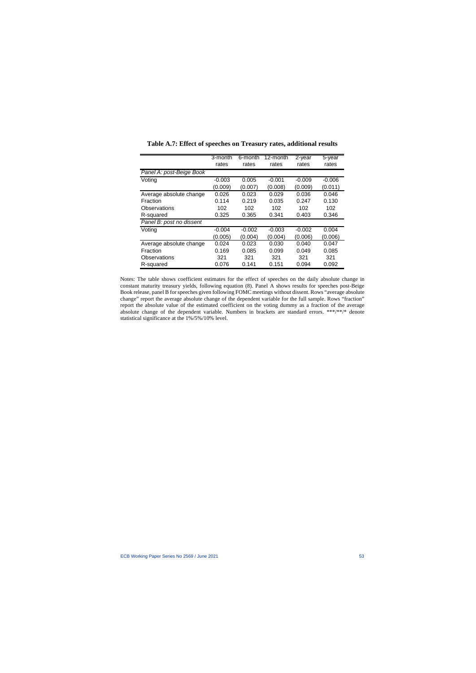|                          | 3-month  | 6-month  | 12-month | 2-year   | 5-year   |
|--------------------------|----------|----------|----------|----------|----------|
|                          | rates    | rates    | rates    | rates    | rates    |
| Panel A: post-Beige Book |          |          |          |          |          |
| Voting                   | $-0.003$ | 0.005    | $-0.001$ | $-0.009$ | $-0.006$ |
|                          | (0.009)  | (0.007)  | (0.008)  | (0.009)  | (0.011)  |
| Average absolute change  | 0.026    | 0.023    | 0.029    | 0.036    | 0.046    |
| Fraction                 | 0.114    | 0.219    | 0.035    | 0.247    | 0.130    |
| Observations             | 102      | 102      | 102      | 102      | 102      |
| R-squared                | 0.325    | 0.365    | 0.341    | 0.403    | 0.346    |
| Panel B: post no dissent |          |          |          |          |          |
| Voting                   | $-0.004$ | $-0.002$ | $-0.003$ | $-0.002$ | 0.004    |
|                          | (0.005)  | (0.004)  | (0.004)  | (0.006)  | (0.006)  |
| Average absolute change  | 0.024    | 0.023    | 0.030    | 0.040    | 0.047    |
| Fraction                 | 0.169    | 0.085    | 0.099    | 0.049    | 0.085    |
| Observations             | 321      | 321      | 321      | 321      | 321      |
| R-squared                | 0.076    | 0.141    | 0.151    | 0.094    | 0.092    |

**Table A.7: Effect of speeches on Treasury rates, additional results** 

Notes: The table shows coefficient estimates for the effect of speeches on the daily absolute change in constant maturity treasury yields, following equation (8). Panel A shows results for speeches post-Beige Book release, panel B for speeches given following FOMC meetings without dissent. Rows "average absolute change" report the average absolute change of the dependent variable for the full sample. Rows "fraction" report the absolute value of the estimated coefficient on the voting dummy as a fraction of the average absolute change of the dependent variable. Numbers in brackets are standard errors. \*\*\*/\*\*/\* denote statistical significance at the 1%/5%/10% level.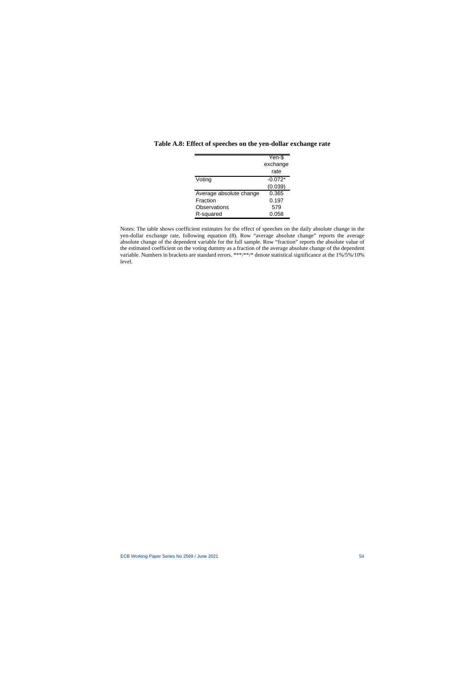|                         | Yen-\$<br>exchange |
|-------------------------|--------------------|
|                         | rate               |
| Voting                  | $-0.072*$          |
|                         | (0.039)            |
| Average absolute change | 0.365              |
| Fraction                | 0.197              |
| Observations            | 579                |
| R-squared               | 0.058              |

#### **Table A.8: Effect of speeches on the yen-dollar exchange rate**

Notes: The table shows coefficient estimates for the effect of speeches on the daily absolute change in the yen-dollar exchange rate, following equation (8). Row "average absolute change" reports the average absolute change of the dependent variable for the full sample. Row "fraction" reports the absolute value of the estimated coefficient on the voting dummy as a fraction of the average absolute change of the dependent variable. Numbers in brackets are standard errors. \*\*\*/\*\*/\* denote statistical significance at the 1%/5%/10% level.